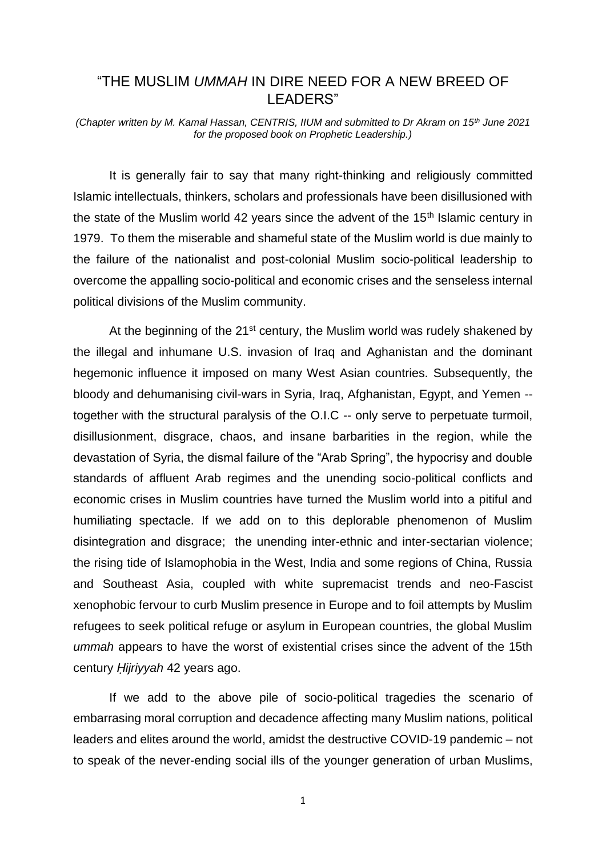# "THE MUSLIM *UMMAH* IN DIRE NEED FOR A NEW BREED OF LEADERS"

*(Chapter written by M. Kamal Hassan, CENTRIS, IIUM and submitted to Dr Akram on 15th June 2021 for the proposed book on Prophetic Leadership.)*

It is generally fair to say that many right-thinking and religiously committed Islamic intellectuals, thinkers, scholars and professionals have been disillusioned with the state of the Muslim world 42 years since the advent of the  $15<sup>th</sup>$  Islamic century in 1979. To them the miserable and shameful state of the Muslim world is due mainly to the failure of the nationalist and post-colonial Muslim socio-political leadership to overcome the appalling socio-political and economic crises and the senseless internal political divisions of the Muslim community.

At the beginning of the 21<sup>st</sup> century, the Muslim world was rudely shakened by the illegal and inhumane U.S. invasion of Iraq and Aghanistan and the dominant hegemonic influence it imposed on many West Asian countries. Subsequently, the bloody and dehumanising civil-wars in Syria, Iraq, Afghanistan, Egypt, and Yemen - together with the structural paralysis of the O.I.C -- only serve to perpetuate turmoil, disillusionment, disgrace, chaos, and insane barbarities in the region, while the devastation of Syria, the dismal failure of the "Arab Spring", the hypocrisy and double standards of affluent Arab regimes and the unending socio-political conflicts and economic crises in Muslim countries have turned the Muslim world into a pitiful and humiliating spectacle. If we add on to this deplorable phenomenon of Muslim disintegration and disgrace; the unending inter-ethnic and inter-sectarian violence; the rising tide of Islamophobia in the West, India and some regions of China, Russia and Southeast Asia, coupled with white supremacist trends and neo-Fascist xenophobic fervour to curb Muslim presence in Europe and to foil attempts by Muslim refugees to seek political refuge or asylum in European countries, the global Muslim *ummah* appears to have the worst of existential crises since the advent of the 15th century *Ḥijriyyah* 42 years ago.

If we add to the above pile of socio-political tragedies the scenario of embarrasing moral corruption and decadence affecting many Muslim nations, political leaders and elites around the world, amidst the destructive COVID-19 pandemic – not to speak of the never-ending social ills of the younger generation of urban Muslims,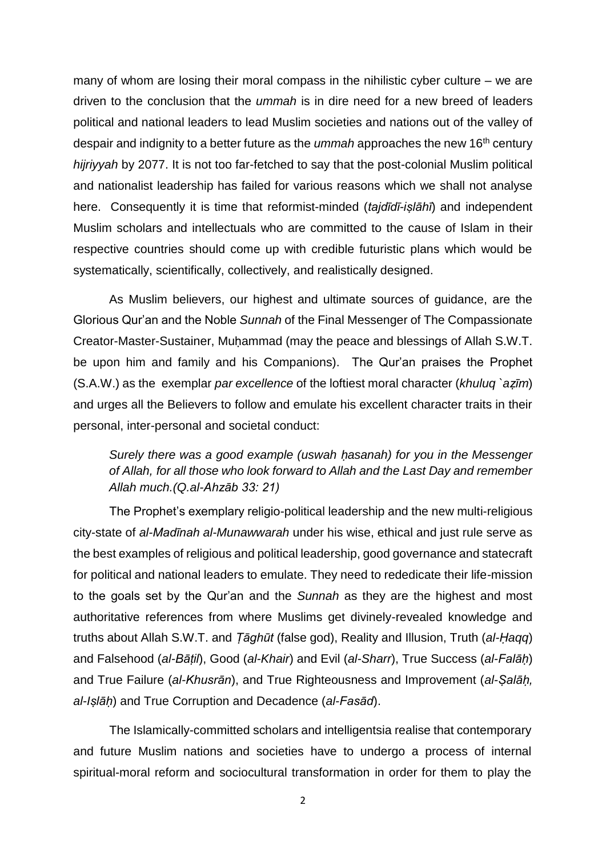many of whom are losing their moral compass in the nihilistic cyber culture – we are driven to the conclusion that the *ummah* is in dire need for a new breed of leaders political and national leaders to lead Muslim societies and nations out of the valley of despair and indignity to a better future as the *ummah* approaches the new 16th century *hijriyyah* by 2077. It is not too far-fetched to say that the post-colonial Muslim political and nationalist leadership has failed for various reasons which we shall not analyse here. Consequently it is time that reformist-minded (*tajdīdī-iṣlāhī*) and independent Muslim scholars and intellectuals who are committed to the cause of Islam in their respective countries should come up with credible futuristic plans which would be systematically, scientifically, collectively, and realistically designed.

As Muslim believers, our highest and ultimate sources of guidance, are the Glorious Qur'an and the Noble *Sunnah* of the Final Messenger of The Compassionate Creator-Master-Sustainer, Muḥammad (may the peace and blessings of Allah S.W.T. be upon him and family and his Companions). The Qur'an praises the Prophet (S.A.W.) as the exemplar *par excellence* of the loftiest moral character (*khuluq `aẓīm*) and urges all the Believers to follow and emulate his excellent character traits in their personal, inter-personal and societal conduct:

# *Surely there was a good example (uswah ḥasanah) for you in the Messenger of Allah, for all those who look forward to Allah and the Last Day and remember Allah much.(Q.al-Ahzāb 33: 21)*

The Prophet's exemplary religio-political leadership and the new multi-religious city-state of *al-Madīnah al-Munawwarah* under his wise, ethical and just rule serve as the best examples of religious and political leadership, good governance and statecraft for political and national leaders to emulate. They need to rededicate their life-mission to the goals set by the Qur'an and the *Sunnah* as they are the highest and most authoritative references from where Muslims get divinely-revealed knowledge and truths about Allah S.W.T. and *Ṭāghūt* (false god), Reality and Illusion, Truth (*al-Ḥaqq*) and Falsehood (*al-Bāṭil*), Good (*al-Khair*) and Evil (*al-Sharr*), True Success (*al-Falāḥ*) and True Failure (*al-Khusrān*), and True Righteousness and Improvement (*al-Ṣalāḥ, al-Iṣlāḥ*) and True Corruption and Decadence (*al-Fasād*).

The Islamically-committed scholars and intelligentsia realise that contemporary and future Muslim nations and societies have to undergo a process of internal spiritual-moral reform and sociocultural transformation in order for them to play the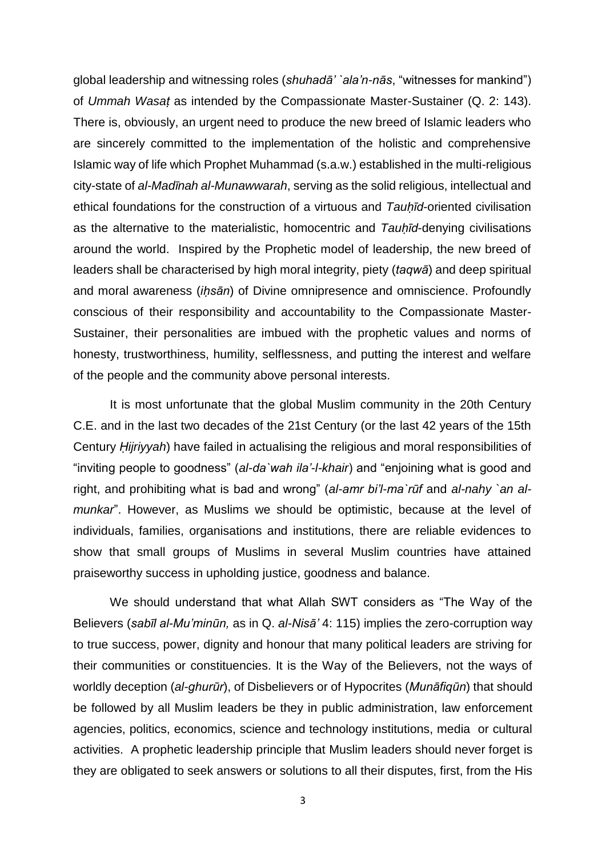global leadership and witnessing roles (*shuhadā' `ala'n-nās*, "witnesses for mankind") of *Ummah Wasaṭ* as intended by the Compassionate Master-Sustainer (Q. 2: 143). There is, obviously, an urgent need to produce the new breed of Islamic leaders who are sincerely committed to the implementation of the holistic and comprehensive Islamic way of life which Prophet Muhammad (s.a.w.) established in the multi-religious city-state of *al-Madīnah al-Munawwarah*, serving as the solid religious, intellectual and ethical foundations for the construction of a virtuous and *Tauḥīd*-oriented civilisation as the alternative to the materialistic, homocentric and *Tauḥīd*-denying civilisations around the world. Inspired by the Prophetic model of leadership, the new breed of leaders shall be characterised by high moral integrity, piety (*taqwā*) and deep spiritual and moral awareness (*iḥsān*) of Divine omnipresence and omniscience. Profoundly conscious of their responsibility and accountability to the Compassionate Master-Sustainer, their personalities are imbued with the prophetic values and norms of honesty, trustworthiness, humility, selflessness, and putting the interest and welfare of the people and the community above personal interests.

It is most unfortunate that the global Muslim community in the 20th Century C.E. and in the last two decades of the 21st Century (or the last 42 years of the 15th Century *Ḥijriyyah*) have failed in actualising the religious and moral responsibilities of "inviting people to goodness" (*al-da`wah ila'-l-khair*) and "enjoining what is good and right, and prohibiting what is bad and wrong" (*al-amr bi'l-ma`rūf* and *al-nahy `an almunkar*". However, as Muslims we should be optimistic, because at the level of individuals, families, organisations and institutions, there are reliable evidences to show that small groups of Muslims in several Muslim countries have attained praiseworthy success in upholding justice, goodness and balance.

We should understand that what Allah SWT considers as "The Way of the Believers (*sabīl al-Mu'minūn,* as in Q. *al-Nisā'* 4: 115) implies the zero-corruption way to true success, power, dignity and honour that many political leaders are striving for their communities or constituencies. It is the Way of the Believers, not the ways of worldly deception (*al-ghurūr*), of Disbelievers or of Hypocrites (*Munāfiqūn*) that should be followed by all Muslim leaders be they in public administration, law enforcement agencies, politics, economics, science and technology institutions, media or cultural activities. A prophetic leadership principle that Muslim leaders should never forget is they are obligated to seek answers or solutions to all their disputes, first, from the His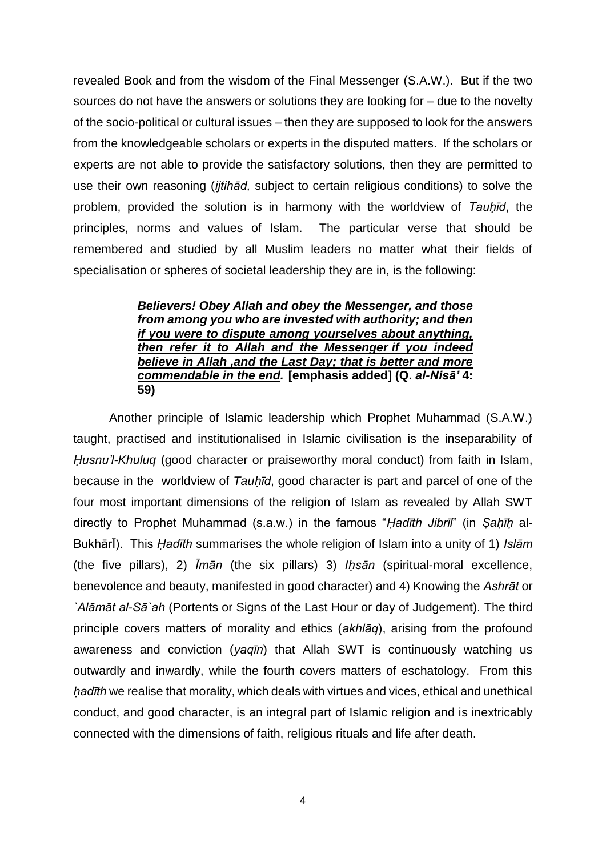revealed Book and from the wisdom of the Final Messenger (S.A.W.). But if the two sources do not have the answers or solutions they are looking for – due to the novelty of the socio-political or cultural issues – then they are supposed to look for the answers from the knowledgeable scholars or experts in the disputed matters. If the scholars or experts are not able to provide the satisfactory solutions, then they are permitted to use their own reasoning (*ijtihād,* subject to certain religious conditions) to solve the problem, provided the solution is in harmony with the worldview of *Tauḥīd*, the principles, norms and values of Islam. The particular verse that should be remembered and studied by all Muslim leaders no matter what their fields of specialisation or spheres of societal leadership they are in, is the following:

## *Believers! Obey Allah and obey the Messenger, and those from among you who are invested with authority; and then if you were to dispute among yourselves about anything, then refer it to Allah and the Messenger if you indeed believe in Allah ,and the Last Day; that is better and more commendable in the end.* **[emphasis added] (Q.** *al-Nisā'* **4: 59)**

Another principle of Islamic leadership which Prophet Muhammad (S.A.W.) taught, practised and institutionalised in Islamic civilisation is the inseparability of *Ḥusnu'l-Khuluq* (good character or praiseworthy moral conduct) from faith in Islam, because in the worldview of *Tauḥīd*, good character is part and parcel of one of the four most important dimensions of the religion of Islam as revealed by Allah SWT directly to Prophet Muhammad (s.a.w.) in the famous "*Ḥadīth Jibrīl*" (in *Ṣaḥīḥ* al-BukhārĪ). This *Ḥadīth* summarises the whole religion of Islam into a unity of 1) *Islām* (the five pillars), 2) *Īmān* (the six pillars) 3) *Iḥsān* (spiritual-moral excellence, benevolence and beauty, manifested in good character) and 4) Knowing the *Ashrāt* or *`Alāmāt al-Sā`ah* (Portents or Signs of the Last Hour or day of Judgement). The third principle covers matters of morality and ethics (*akhlāq*), arising from the profound awareness and conviction (*yaqīn*) that Allah SWT is continuously watching us outwardly and inwardly, while the fourth covers matters of eschatology. From this *ḥadīth* we realise that morality, which deals with virtues and vices, ethical and unethical conduct, and good character, is an integral part of Islamic religion and is inextricably connected with the dimensions of faith, religious rituals and life after death.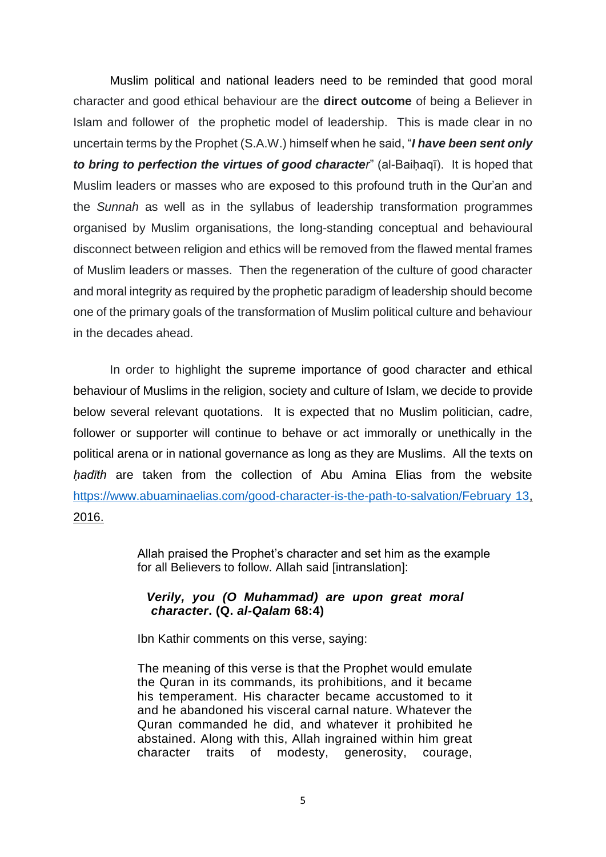Muslim political and national leaders need to be reminded that good moral character and good ethical behaviour are the **direct outcome** of being a Believer in Islam and follower of the prophetic model of leadership. This is made clear in no uncertain terms by the Prophet (S.A.W.) himself when he said, "*I have been sent only to bring to perfection the virtues of good character*<sup>"</sup> (al-Baihaqī). It is hoped that Muslim leaders or masses who are exposed to this profound truth in the Qur'an and the *Sunnah* as well as in the syllabus of leadership transformation programmes organised by Muslim organisations, the long-standing conceptual and behavioural disconnect between religion and ethics will be removed from the flawed mental frames of Muslim leaders or masses. Then the regeneration of the culture of good character and moral integrity as required by the prophetic paradigm of leadership should become one of the primary goals of the transformation of Muslim political culture and behaviour in the decades ahead.

In order to highlight the supreme importance of good character and ethical behaviour of Muslims in the religion, society and culture of Islam, we decide to provide below several relevant quotations. It is expected that no Muslim politician, cadre, follower or supporter will continue to behave or act immorally or unethically in the political arena or in national governance as long as they are Muslims. All the texts on *ḥadīth* are taken from the collection of Abu Amina Elias from the website [https://www.abuaminaelias.com/good-character-is-the-path-to-salvation/February 13,](https://www.abuaminaelias.com/good-character-is-the-path-to-salvation/February%2013) 2016.

> Allah praised the Prophet's character and set him as the example for all Believers to follow. Allah said [intranslation]:

### *Verily, you (O Muhammad) are upon great moral character***. (Q.** *al-Qalam* **68:4)**

Ibn Kathir comments on this verse, saying:

The meaning of this verse is that the Prophet would emulate the Quran in its commands, its prohibitions, and it became his temperament. His character became accustomed to it and he abandoned his visceral carnal nature. Whatever the Quran commanded he did, and whatever it prohibited he abstained. Along with this, Allah ingrained within him great character traits of modesty, generosity, courage,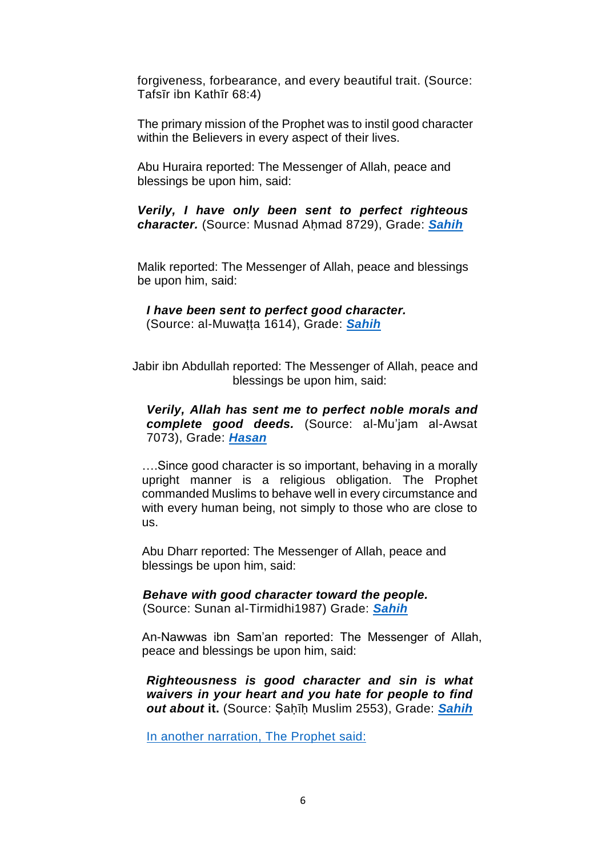forgiveness, forbearance, and every beautiful trait. (Source: Tafsīr ibn Kathīr 68:4)

The primary mission of the Prophet was to instil good character within the Believers in every aspect of their lives.

Abu Huraira reported: The Messenger of Allah, peace and blessings be upon him, said:

*Verily, I have only been sent to perfect righteous character.* (Source: Musnad Aḥmad 8729), Grade: *[Sahih](http://dailyhadith.abuaminaelias.com/2012/11/02/hadith-on-character-the-prophet-was-sent-only-to-teach-righteousness-to-the-believers/)*

Malik reported: The Messenger of Allah, peace and blessings be upon him, said:

*I have been sent to perfect good character.* (Source: al-Muwaṭṭa 1614), Grade: *[Sahih](http://dailyhadith.abuaminaelias.com/2011/02/01/the-prophet-was-sent-to-perfect-good-character/)*

Jabir ibn Abdullah reported: The Messenger of Allah, peace and blessings be upon him, said:

### *Verily, Allah has sent me to perfect noble morals and complete good deeds.* (Source: al-Mu'jam al-Awsat 7073), Grade: *[Hasan](http://dailyhadith.abuaminaelias.com/2016/02/12/hadith-on-morals-allah-sent-muhammad-to-perfect-good-character-and-ethics/)*

….Since good character is so important, behaving in a morally upright manner is a religious obligation. The Prophet commanded Muslims to behave well in every circumstance and with every human being, not simply to those who are close to us.

Abu Dharr reported: The Messenger of Allah, peace and blessings be upon him, said:

 *Behave with good character toward the people.* (Source: Sunan al-Tirmidhi1987) Grade: *[Sahih](http://dailyhadith.abuaminaelias.com/2012/02/17/hadith-on-character-fear-allah-wherever-you-are-behave-with-good-character/)*

An-Nawwas ibn Sam'an reported: The Messenger of Allah, peace and blessings be upon him, said:

*Righteousness is good character and sin is what waivers in your heart and you hate for people to find out about* **it.** (Source: Ṣaḥīḥ Muslim 2553), Grade: *[Sahih](http://dailyhadith.abuaminaelias.com/2011/09/13/righteousness-is-to-have-good-character-sin-is-known-by-human-nature/)*

In another narration, The Prophet said: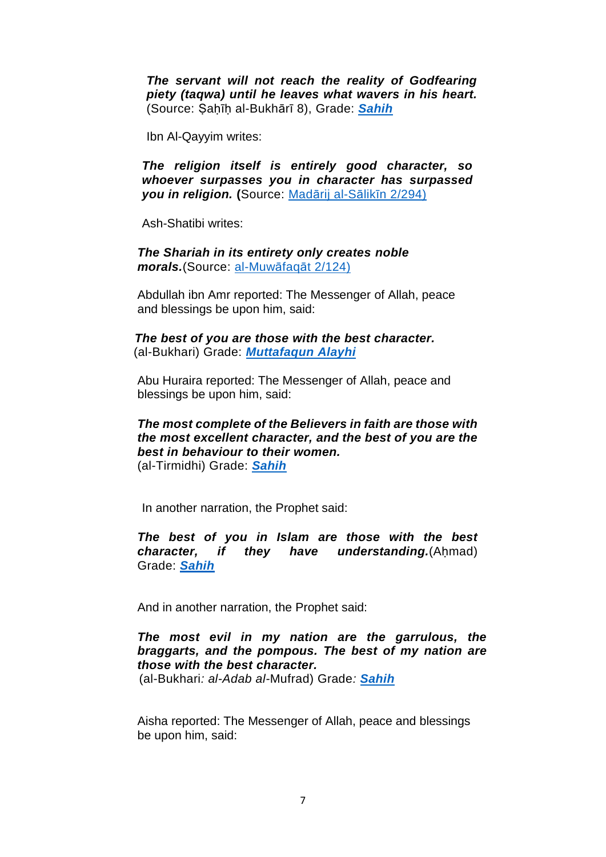*The servant will not reach the reality of Godfearing piety (taqwa) until he leaves what wavers in his heart.*  (Source: Ṣaḥīḥ al-Bukhārī 8), Grade: *[Sahih](http://dailyhadith.abuaminaelias.com/2012/09/30/ibn-umar-on-piety-the-reality-of-righteousness-is-to-leave-what-waivers-in-the-heart/)*

Ibn Al-Qayyim writes:

*The religion itself is entirely good character, so whoever surpasses you in character has surpassed you in religion.* **(**Source: Madārij [al-Sālikīn](http://dailyhadith.abuaminaelias.com/2012/09/07/ibn-al-qayyim-whoever-surpasses-you-in-good-character-has-surpassed-you-in-religion-and-spirituality/) 2/294)

Ash-Shatibi writes:

*The Shariah in its entirety only creates noble morals.*(Source: [al-Muwāfaqāt](http://dailyhadith.abuaminaelias.com/2011/02/01/the-prophet-was-sent-to-perfect-good-character/) 2/124)

Abdullah ibn Amr reported: The Messenger of Allah, peace and blessings be upon him, said:

*The best of you are those with the best character.* (al-Bukhari) Grade: *[Muttafaqun](http://dailyhadith.abuaminaelias.com/2012/03/26/hadith-on-character-the-prophet-preached-good-character-so-he-was-never-obscene/) Alayhi*

Abu Huraira reported: The Messenger of Allah, peace and blessings be upon him, said:

#### *The most complete of the Believers in faith are those with the most excellent character, and the best of you are the best in behaviour to their women.* (al-Tirmidhi) Grade: *[Sahih](http://dailyhadith.abuaminaelias.com/2012/01/10/hadith-on-women-the-best-of-you-are-the-best-in-character-to-their-women/)*

In another narration, the Prophet said:

*The best of you in Islam are those with the best character, if they have understanding.*(Ahmad) Grade: *[Sahih](http://dailyhadith.abuaminaelias.com/2016/04/11/hadith-on-character-the-best-people-in-islam-have-the-best-character-if-they-understand/)*

And in another narration, the Prophet said:

# *The most evil in my nation are the garrulous, the braggarts, and the pompous. The best of my nation are those with the best character.*

(al-Bukhari*: al-Adab al-*Mufrad) Grade*: [Sahih](http://dailyhadith.abuaminaelias.com/2012/09/04/hadith-on-speech-the-worst-muslims-in-this-nation-are-those-who-talk-too-much-and-spread-idle-talk/)*

Aisha reported: The Messenger of Allah, peace and blessings be upon him, said: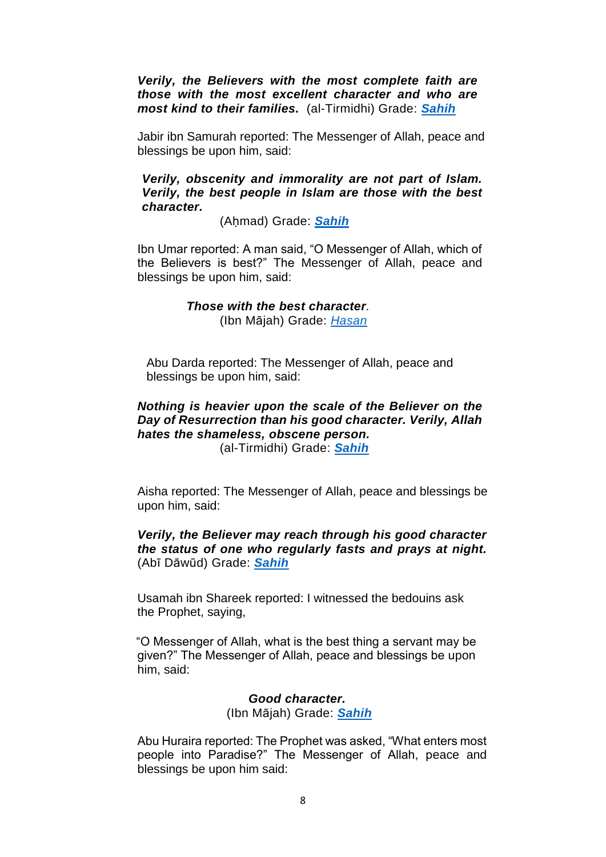*Verily, the Believers with the most complete faith are those with the most excellent character and who are most kind to their families.* (al-Tirmidhi) Grade: *[Sahih](http://dailyhadith.abuaminaelias.com/2011/03/23/faith-is-perfected-by-good-character-kindness-to-women-and-family-2/)*

Jabir ibn Samurah reported: The Messenger of Allah, peace and blessings be upon him, said:

### *Verily, obscenity and immorality are not part of Islam. Verily, the best people in Islam are those with the best character.*

(Aḥmad) Grade: *[Sahih](http://dailyhadith.abuaminaelias.com/2016/04/03/hadith-on-islam-the-best-muslims-are-those-with-the-best-character/)*

Ibn Umar reported: A man said, "O Messenger of Allah, which of the Believers is best?" The Messenger of Allah, peace and blessings be upon him, said:

### *Those with the best character.* (Ibn Mājah) Grade: *[Hasan](http://dailyhadith.abuaminaelias.com/2012/09/13/hadith-on-wisdom-the-best-believers-have-the-best-character-and-prepare-for-death-by-doing-good-works/)*

Abu Darda reported: The Messenger of Allah, peace and blessings be upon him, said:

# *Nothing is heavier upon the scale of the Believer on the Day of Resurrection than his good character. Verily, Allah hates the shameless, obscene person.*

(al-Tirmidhi) Grade: *[Sahih](http://dailyhadith.abuaminaelias.com/2012/03/31/hadith-on-character-good-character-is-the-heaviest-on-the-scale-and-allah-hates-shameless-obscenity/)*

Aisha reported: The Messenger of Allah, peace and blessings be upon him, said:

*Verily, the Believer may reach through his good character the status of one who regularly fasts and prays at night.*  (Abī Dāwūd) Grade: *[Sahih](http://dailyhadith.abuaminaelias.com/2010/11/21/good-character-is-equal-to-many-ritual-acts-of-worship/)*

Usamah ibn Shareek reported: I witnessed the bedouins ask the Prophet, saying,

"O Messenger of Allah, what is the best thing a servant may be given?" The Messenger of Allah, peace and blessings be upon him, said:

## *Good character.* (Ibn Mājah) Grade: *[Sahih](http://dailyhadith.abuaminaelias.com/2014/01/11/hadith-on-character-good-character-is-the-best-thing-to-be-given-to-people/)*

Abu Huraira reported: The Prophet was asked, "What enters most people into Paradise?" The Messenger of Allah, peace and blessings be upon him said: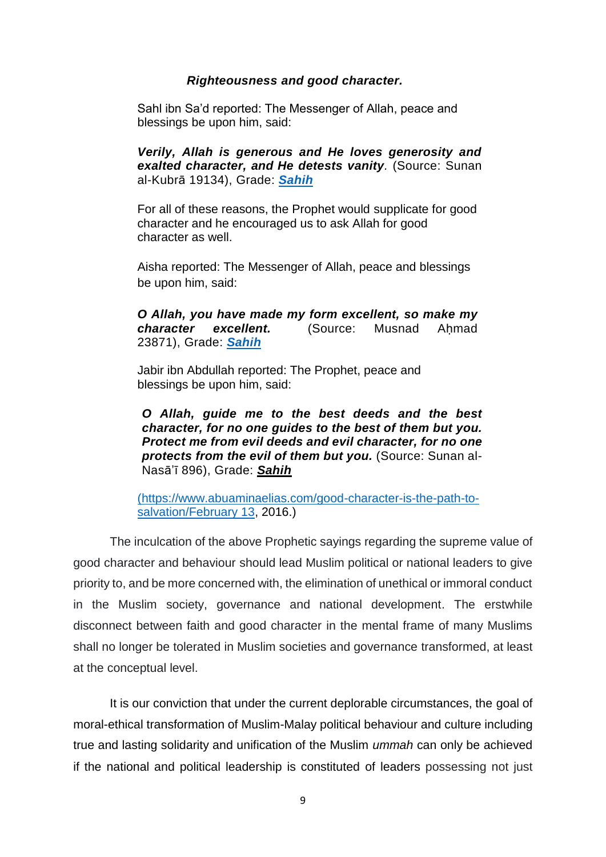### *Righteousness and good character.*

Sahl ibn Sa'd reported: The Messenger of Allah, peace and blessings be upon him, said:

*Verily, Allah is generous and He loves generosity and exalted character, and He detests vanity.* (Source: Sunan al-Kubrā 19134), Grade: *[Sahih](http://dailyhadith.abuaminaelias.com/2013/04/08/hadith-on-generosity-allah-is-generous-and-he-loves-generosity-and-good-character/)*

For all of these reasons, the Prophet would supplicate for good character and he encouraged us to ask Allah for good character as well.

Aisha reported: The Messenger of Allah, peace and blessings be upon him, said:

*O Allah, you have made my form excellent, so make my character excellent.* (Source: Musnad Ahmad 23871), Grade: *[Sahih](http://dailyhadith.abuaminaelias.com/2016/04/03/hadith-on-character-the-prophet-would-supplicate-for-good-character/)*

Jabir ibn Abdullah reported: The Prophet, peace and blessings be upon him, said:

*O Allah, guide me to the best deeds and the best character, for no one guides to the best of them but you. Protect me from evil deeds and evil character, for no one protects from the evil of them but you.* (Source: Sunan al-Nasā'ī 896), Grade: *[Sahih](http://dailyhadith.abuaminaelias.com/2015/04/01/hadith-on-prayer-o-allah-guide-me-to-the-most-righteous-deeds-and-character/)*

[\(https://www.abuaminaelias.com/good-character-is-the-path-to](https://www.abuaminaelias.com/good-character-is-the-path-to-salvation/February%2013)[salvation/February 13,](https://www.abuaminaelias.com/good-character-is-the-path-to-salvation/February%2013) 2016.)

The inculcation of the above Prophetic sayings regarding the supreme value of good character and behaviour should lead Muslim political or national leaders to give priority to, and be more concerned with, the elimination of unethical or immoral conduct in the Muslim society, governance and national development. The erstwhile disconnect between faith and good character in the mental frame of many Muslims shall no longer be tolerated in Muslim societies and governance transformed, at least at the conceptual level.

It is our conviction that under the current deplorable circumstances, the goal of moral-ethical transformation of Muslim-Malay political behaviour and culture including true and lasting solidarity and unification of the Muslim *ummah* can only be achieved if the national and political leadership is constituted of leaders possessing not just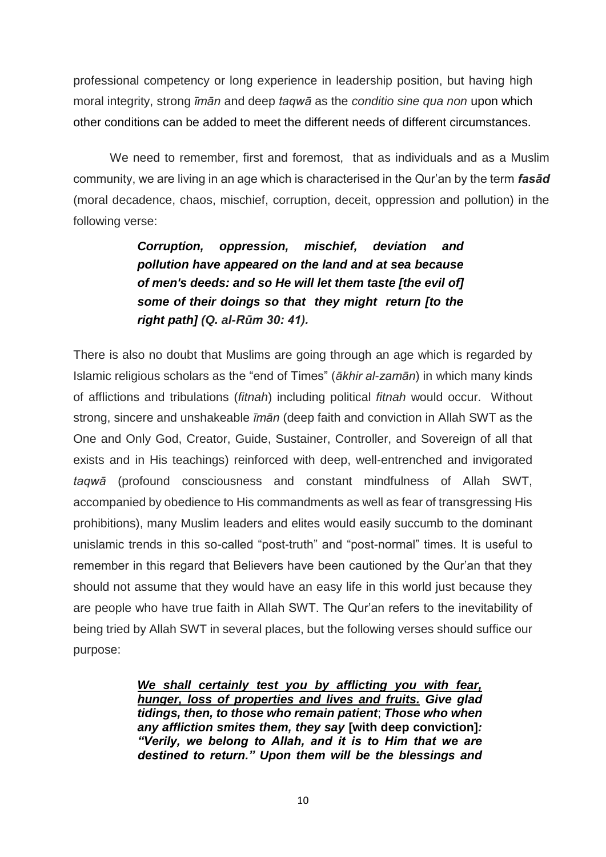professional competency or long experience in leadership position, but having high moral integrity, strong *īmān* and deep *taqwā* as the *conditio sine qua non* upon which other conditions can be added to meet the different needs of different circumstances.

We need to remember, first and foremost, that as individuals and as a Muslim community, we are living in an age which is characterised in the Qur'an by the term *fasād* (moral decadence, chaos, mischief, corruption, deceit, oppression and pollution) in the following verse:

> *Corruption, oppression, mischief, deviation and pollution have appeared on the land and at sea because of men's deeds: and so He will let them taste [the evil of] some of their doings so that they might return [to the right path] (Q. al-Rūm 30: 41).*

There is also no doubt that Muslims are going through an age which is regarded by Islamic religious scholars as the "end of Times" (*ākhir al-zamān*) in which many kinds of afflictions and tribulations (*fitnah*) including political *fitnah* would occur. Without strong, sincere and unshakeable *īmān* (deep faith and conviction in Allah SWT as the One and Only God, Creator, Guide, Sustainer, Controller, and Sovereign of all that exists and in His teachings) reinforced with deep, well-entrenched and invigorated *taqwā* (profound consciousness and constant mindfulness of Allah SWT, accompanied by obedience to His commandments as well as fear of transgressing His prohibitions), many Muslim leaders and elites would easily succumb to the dominant unislamic trends in this so-called "post-truth" and "post-normal" times. It is useful to remember in this regard that Believers have been cautioned by the Qur'an that they should not assume that they would have an easy life in this world just because they are people who have true faith in Allah SWT. The Qur'an refers to the inevitability of being tried by Allah SWT in several places, but the following verses should suffice our purpose:

> *We shall certainly test you by afflicting you with fear, hunger, loss of properties and lives and fruits. Give glad tidings, then, to those who remain patient*; *Those who when any affliction smites them, they say* **[with deep conviction]***: "Verily, we belong to Allah, and it is to Him that we are destined to return." Upon them will be the blessings and*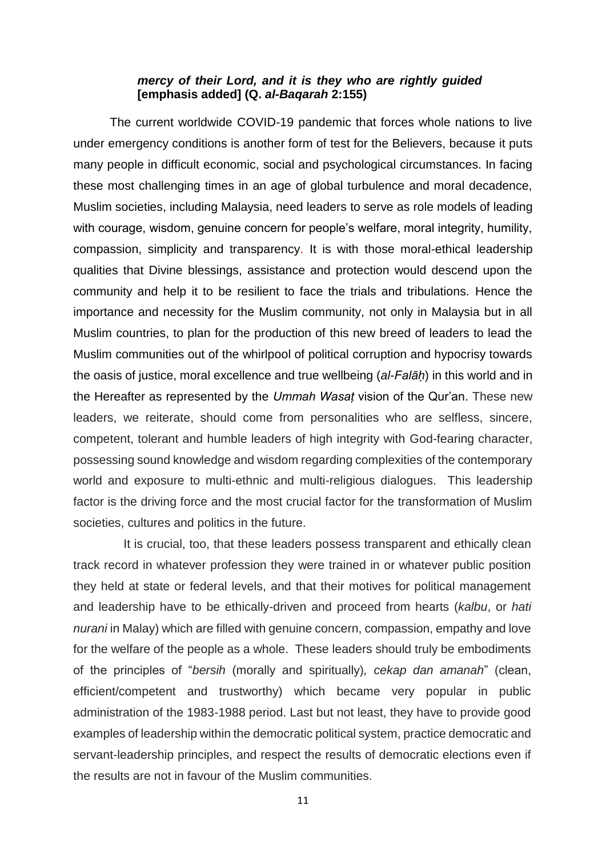### *mercy of their Lord, and it is they who are rightly guided*  **[emphasis added] (Q.** *al-Baqarah* **2:155)**

The current worldwide COVID-19 pandemic that forces whole nations to live under emergency conditions is another form of test for the Believers, because it puts many people in difficult economic, social and psychological circumstances. In facing these most challenging times in an age of global turbulence and moral decadence, Muslim societies, including Malaysia, need leaders to serve as role models of leading with courage, wisdom, genuine concern for people's welfare, moral integrity, humility, compassion, simplicity and transparency. It is with those moral-ethical leadership qualities that Divine blessings, assistance and protection would descend upon the community and help it to be resilient to face the trials and tribulations. Hence the importance and necessity for the Muslim community, not only in Malaysia but in all Muslim countries, to plan for the production of this new breed of leaders to lead the Muslim communities out of the whirlpool of political corruption and hypocrisy towards the oasis of justice, moral excellence and true wellbeing (*al-Falāḥ*) in this world and in the Hereafter as represented by the *Ummah Wasaṭ* vision of the Qur'an. These new leaders, we reiterate, should come from personalities who are selfless, sincere, competent, tolerant and humble leaders of high integrity with God-fearing character, possessing sound knowledge and wisdom regarding complexities of the contemporary world and exposure to multi-ethnic and multi-religious dialogues. This leadership factor is the driving force and the most crucial factor for the transformation of Muslim societies, cultures and politics in the future.

 It is crucial, too, that these leaders possess transparent and ethically clean track record in whatever profession they were trained in or whatever public position they held at state or federal levels, and that their motives for political management and leadership have to be ethically-driven and proceed from hearts (*kalbu*, or *hati nurani* in Malay) which are filled with genuine concern, compassion, empathy and love for the welfare of the people as a whole. These leaders should truly be embodiments of the principles of "*bersih* (morally and spiritually)*, cekap dan amanah*" (clean, efficient/competent and trustworthy) which became very popular in public administration of the 1983-1988 period. Last but not least, they have to provide good examples of leadership within the democratic political system, practice democratic and servant-leadership principles, and respect the results of democratic elections even if the results are not in favour of the Muslim communities.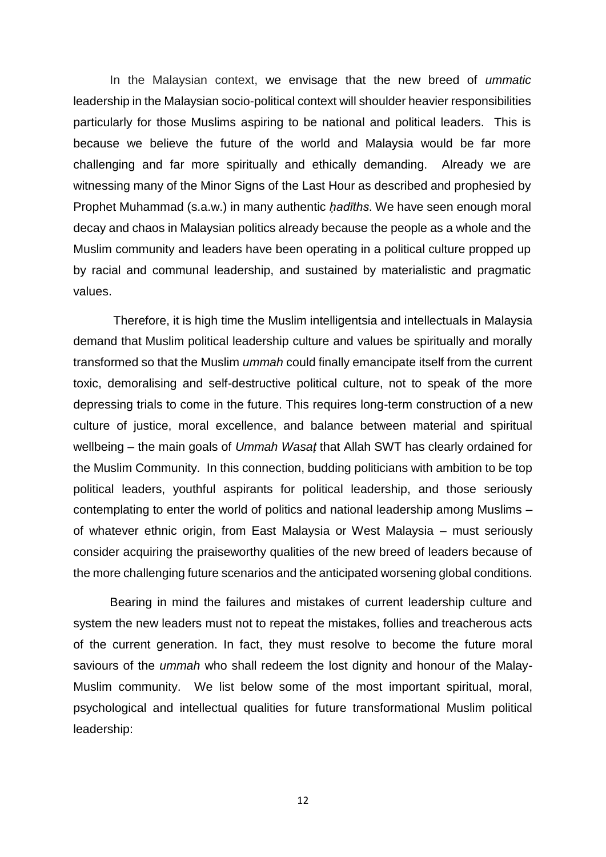In the Malaysian context, we envisage that the new breed of *ummatic* leadership in the Malaysian socio-political context will shoulder heavier responsibilities particularly for those Muslims aspiring to be national and political leaders. This is because we believe the future of the world and Malaysia would be far more challenging and far more spiritually and ethically demanding. Already we are witnessing many of the Minor Signs of the Last Hour as described and prophesied by Prophet Muhammad (s.a.w.) in many authentic *ḥadīths*. We have seen enough moral decay and chaos in Malaysian politics already because the people as a whole and the Muslim community and leaders have been operating in a political culture propped up by racial and communal leadership, and sustained by materialistic and pragmatic values.

Therefore, it is high time the Muslim intelligentsia and intellectuals in Malaysia demand that Muslim political leadership culture and values be spiritually and morally transformed so that the Muslim *ummah* could finally emancipate itself from the current toxic, demoralising and self-destructive political culture, not to speak of the more depressing trials to come in the future. This requires long-term construction of a new culture of justice, moral excellence, and balance between material and spiritual wellbeing – the main goals of *Ummah Wasaṭ* that Allah SWT has clearly ordained for the Muslim Community. In this connection, budding politicians with ambition to be top political leaders, youthful aspirants for political leadership, and those seriously contemplating to enter the world of politics and national leadership among Muslims – of whatever ethnic origin, from East Malaysia or West Malaysia – must seriously consider acquiring the praiseworthy qualities of the new breed of leaders because of the more challenging future scenarios and the anticipated worsening global conditions.

Bearing in mind the failures and mistakes of current leadership culture and system the new leaders must not to repeat the mistakes, follies and treacherous acts of the current generation. In fact, they must resolve to become the future moral saviours of the *ummah* who shall redeem the lost dignity and honour of the Malay-Muslim community. We list below some of the most important spiritual, moral, psychological and intellectual qualities for future transformational Muslim political leadership: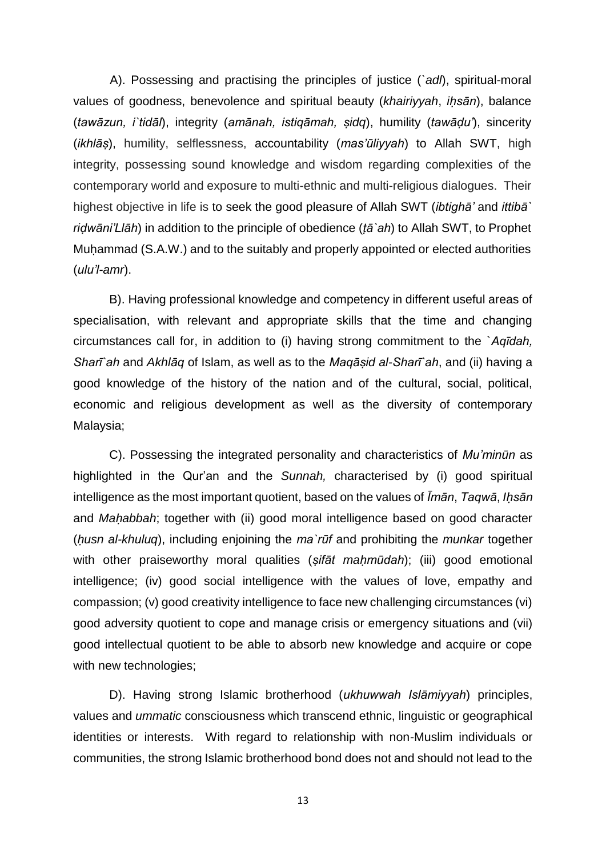A). Possessing and practising the principles of justice (*`adl*), spiritual-moral values of goodness, benevolence and spiritual beauty (*khairiyyah*, *iḥsān*), balance (*tawāzun, i`tidāl*), integrity (*amānah, istiqāmah, ṣidq*), humility (*tawāḍu'*), sincerity (*ikhlāṣ*), humility, selflessness, accountability (*mas'ūliyyah*) to Allah SWT, high integrity, possessing sound knowledge and wisdom regarding complexities of the contemporary world and exposure to multi-ethnic and multi-religious dialogues. Their highest objective in life is to seek the good pleasure of Allah SWT (*ibtighā'* and *ittibā` riḍwāni'Llāh*) in addition to the principle of obedience (*ṭā`ah*) to Allah SWT, to Prophet Muḥammad (S.A.W.) and to the suitably and properly appointed or elected authorities (*ulu'l-amr*).

B). Having professional knowledge and competency in different useful areas of specialisation, with relevant and appropriate skills that the time and changing circumstances call for, in addition to (i) having strong commitment to the `*Aqīdah, Sharī`ah* and *Akhlāq* of Islam, as well as to the *Maqāṣid al-Sharī`ah*, and (ii) having a good knowledge of the history of the nation and of the cultural, social, political, economic and religious development as well as the diversity of contemporary Malaysia;

C). Possessing the integrated personality and characteristics of *Mu'minūn* as highlighted in the Qur'an and the *Sunnah,* characterised by (i) good spiritual intelligence as the most important quotient, based on the values of *Īmān*, *Taqwā*, *Iḥsān*  and *Maḥabbah*; together with (ii) good moral intelligence based on good character (*ḥusn al-khuluq*), including enjoining the *ma`rūf* and prohibiting the *munkar* together with other praiseworthy moral qualities (*ṣifāt maḥmūdah*); (iii) good emotional intelligence; (iv) good social intelligence with the values of love, empathy and compassion; (v) good creativity intelligence to face new challenging circumstances (vi) good adversity quotient to cope and manage crisis or emergency situations and (vii) good intellectual quotient to be able to absorb new knowledge and acquire or cope with new technologies;

D). Having strong Islamic brotherhood (*ukhuwwah Islāmiyyah*) principles, values and *ummatic* consciousness which transcend ethnic, linguistic or geographical identities or interests. With regard to relationship with non-Muslim individuals or communities, the strong Islamic brotherhood bond does not and should not lead to the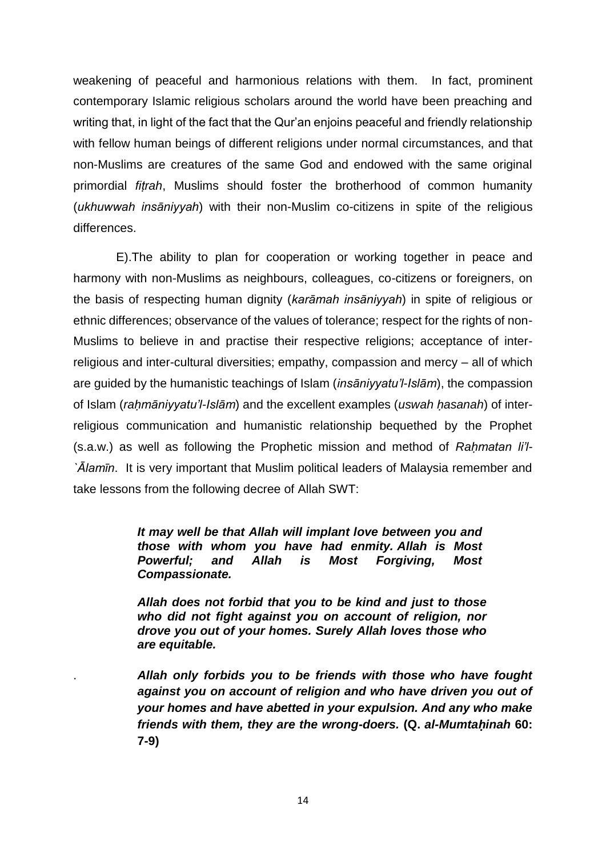weakening of peaceful and harmonious relations with them. In fact, prominent contemporary Islamic religious scholars around the world have been preaching and writing that, in light of the fact that the Qur'an enjoins peaceful and friendly relationship with fellow human beings of different religions under normal circumstances, and that non-Muslims are creatures of the same God and endowed with the same original primordial *fiṭrah*, Muslims should foster the brotherhood of common humanity (*ukhuwwah insāniyyah*) with their non-Muslim co-citizens in spite of the religious differences.

 E).The ability to plan for cooperation or working together in peace and harmony with non-Muslims as neighbours, colleagues, co-citizens or foreigners, on the basis of respecting human dignity (*karāmah insāniyyah*) in spite of religious or ethnic differences; observance of the values of tolerance; respect for the rights of non-Muslims to believe in and practise their respective religions; acceptance of interreligious and inter-cultural diversities; empathy, compassion and mercy – all of which are guided by the humanistic teachings of Islam (*insāniyyatu'l-Islām*), the compassion of Islam (*raḥmāniyyatu'l-Islām*) and the excellent examples (*uswah ḥasanah*) of interreligious communication and humanistic relationship bequethed by the Prophet (s.a.w.) as well as following the Prophetic mission and method of *Raḥmatan li'l- `Ālamīn*. It is very important that Muslim political leaders of Malaysia remember and take lessons from the following decree of Allah SWT:

> *It may well be that Allah will implant love between you and those with whom you have had enmity. Allah is Most Powerful; and Allah is Most Forgiving, Most Compassionate.*

*Allah does not forbid that you to be kind and just to those who did not fight against you on account of religion, nor drove you out of your homes. Surely Allah loves those who are equitable.*

. *Allah only forbids you to be friends with those who have fought against you on account of religion and who have driven you out of your homes and have abetted in your expulsion. And any who make friends with them, they are the wrong-doers.* **(Q.** *al-Mumtaḥinah* **60: 7-9)**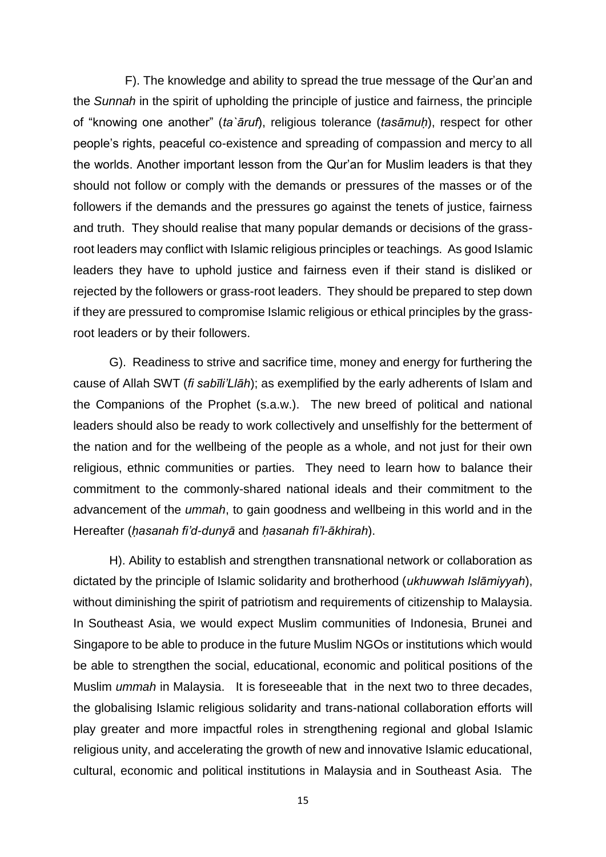F). The knowledge and ability to spread the true message of the Qur'an and the *Sunnah* in the spirit of upholding the principle of justice and fairness, the principle of "knowing one another" (*ta`āruf*), religious tolerance (*tasāmuḥ*), respect for other people's rights, peaceful co-existence and spreading of compassion and mercy to all the worlds. Another important lesson from the Qur'an for Muslim leaders is that they should not follow or comply with the demands or pressures of the masses or of the followers if the demands and the pressures go against the tenets of justice, fairness and truth. They should realise that many popular demands or decisions of the grassroot leaders may conflict with Islamic religious principles or teachings. As good Islamic leaders they have to uphold justice and fairness even if their stand is disliked or rejected by the followers or grass-root leaders. They should be prepared to step down if they are pressured to compromise Islamic religious or ethical principles by the grassroot leaders or by their followers.

G). Readiness to strive and sacrifice time, money and energy for furthering the cause of Allah SWT (*fi sabīli'Llāh*); as exemplified by the early adherents of Islam and the Companions of the Prophet (s.a.w.). The new breed of political and national leaders should also be ready to work collectively and unselfishly for the betterment of the nation and for the wellbeing of the people as a whole, and not just for their own religious, ethnic communities or parties. They need to learn how to balance their commitment to the commonly-shared national ideals and their commitment to the advancement of the *ummah*, to gain goodness and wellbeing in this world and in the Hereafter (*ḥasanah fi'd-dunyā* and *ḥasanah fi'l-ākhirah*).

H). Ability to establish and strengthen transnational network or collaboration as dictated by the principle of Islamic solidarity and brotherhood (*ukhuwwah Islāmiyyah*), without diminishing the spirit of patriotism and requirements of citizenship to Malaysia. In Southeast Asia, we would expect Muslim communities of Indonesia, Brunei and Singapore to be able to produce in the future Muslim NGOs or institutions which would be able to strengthen the social, educational, economic and political positions of the Muslim *ummah* in Malaysia. It is foreseeable that in the next two to three decades, the globalising Islamic religious solidarity and trans-national collaboration efforts will play greater and more impactful roles in strengthening regional and global Islamic religious unity, and accelerating the growth of new and innovative Islamic educational, cultural, economic and political institutions in Malaysia and in Southeast Asia. The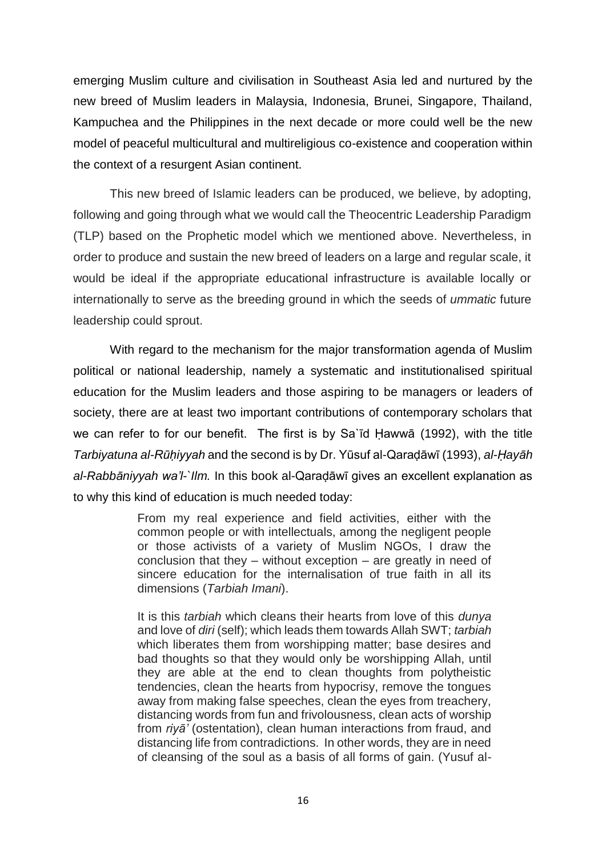emerging Muslim culture and civilisation in Southeast Asia led and nurtured by the new breed of Muslim leaders in Malaysia, Indonesia, Brunei, Singapore, Thailand, Kampuchea and the Philippines in the next decade or more could well be the new model of peaceful multicultural and multireligious co-existence and cooperation within the context of a resurgent Asian continent.

This new breed of Islamic leaders can be produced, we believe, by adopting, following and going through what we would call the Theocentric Leadership Paradigm (TLP) based on the Prophetic model which we mentioned above. Nevertheless, in order to produce and sustain the new breed of leaders on a large and regular scale, it would be ideal if the appropriate educational infrastructure is available locally or internationally to serve as the breeding ground in which the seeds of *ummatic* future leadership could sprout.

With regard to the mechanism for the major transformation agenda of Muslim political or national leadership, namely a systematic and institutionalised spiritual education for the Muslim leaders and those aspiring to be managers or leaders of society, there are at least two important contributions of contemporary scholars that we can refer to for our benefit. The first is by Sa`īd Ḥawwā (1992), with the title *Tarbiyatuna al-Rūḥiyyah* and the second is by Dr. Yūsuf al-Qaraḍāwī (1993), *al-Ḥayāh al-Rabbāniyyah wa'l-`Ilm.* In this book al-Qaraḍāwī gives an excellent explanation as to why this kind of education is much needed today:

> From my real experience and field activities, either with the common people or with intellectuals, among the negligent people or those activists of a variety of Muslim NGOs, I draw the conclusion that they – without exception – are greatly in need of sincere education for the internalisation of true faith in all its dimensions (*Tarbiah Imani*).

> It is this *tarbiah* which cleans their hearts from love of this *dunya* and love of *diri* (self); which leads them towards Allah SWT; *tarbiah* which liberates them from worshipping matter; base desires and bad thoughts so that they would only be worshipping Allah, until they are able at the end to clean thoughts from polytheistic tendencies, clean the hearts from hypocrisy, remove the tongues away from making false speeches, clean the eyes from treachery, distancing words from fun and frivolousness, clean acts of worship from *riyā'* (ostentation), clean human interactions from fraud, and distancing life from contradictions. In other words, they are in need of cleansing of the soul as a basis of all forms of gain. (Yusuf al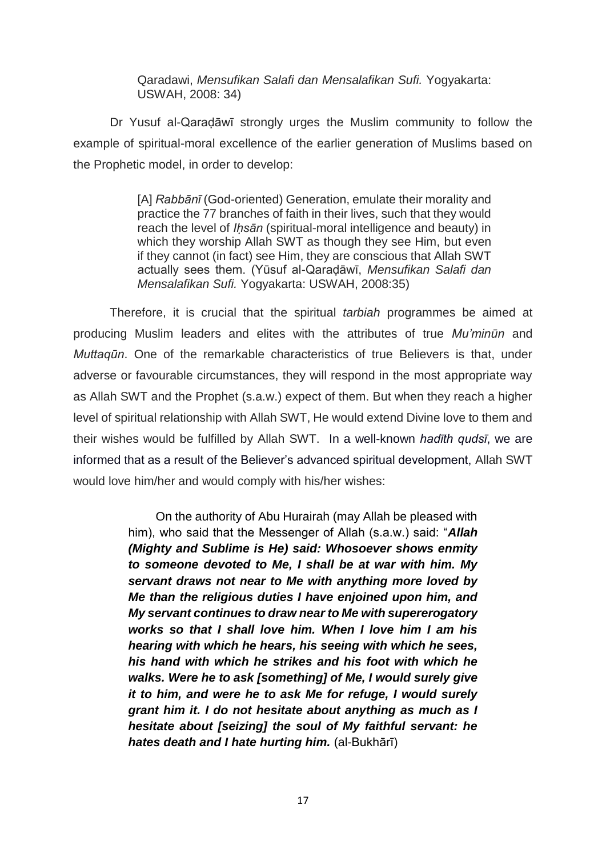Qaradawi, *Mensufikan Salafi dan Mensalafikan Sufi.* Yogyakarta: USWAH, 2008: 34)

Dr Yusuf al-Qaraḍāwī strongly urges the Muslim community to follow the example of spiritual-moral excellence of the earlier generation of Muslims based on the Prophetic model, in order to develop:

> [A] *Rabbānī* (God-oriented) Generation, emulate their morality and practice the 77 branches of faith in their lives, such that they would reach the level of *Iḥsān* (spiritual-moral intelligence and beauty) in which they worship Allah SWT as though they see Him, but even if they cannot (in fact) see Him, they are conscious that Allah SWT actually sees them. (Yūsuf al-Qaraḍāwī, *Mensufikan Salafi dan Mensalafikan Sufi.* Yogyakarta: USWAH, 2008:35)

Therefore, it is crucial that the spiritual *tarbiah* programmes be aimed at producing Muslim leaders and elites with the attributes of true *Mu'minūn* and *Muttaqūn*. One of the remarkable characteristics of true Believers is that, under adverse or favourable circumstances, they will respond in the most appropriate way as Allah SWT and the Prophet (s.a.w.) expect of them. But when they reach a higher level of spiritual relationship with Allah SWT, He would extend Divine love to them and their wishes would be fulfilled by Allah SWT. In a well-known *hadīth qudsī*, we are informed that as a result of the Believer's advanced spiritual development, Allah SWT would love him/her and would comply with his/her wishes:

> On the authority of Abu Hurairah (may Allah be pleased with him), who said that the Messenger of Allah (s.a.w.) said: "*Allah (Mighty and Sublime is He) said: Whosoever shows enmity to someone devoted to Me, I shall be at war with him. My servant draws not near to Me with anything more loved by Me than the religious duties I have enjoined upon him, and My servant continues to draw near to Me with supererogatory works so that I shall love him. When I love him I am his hearing with which he hears, his seeing with which he sees, his hand with which he strikes and his foot with which he walks. Were he to ask [something] of Me, I would surely give it to him, and were he to ask Me for refuge, I would surely grant him it. I do not hesitate about anything as much as I hesitate about [seizing] the soul of My faithful servant: he hates death and I hate hurting him.* (al-Bukhārī)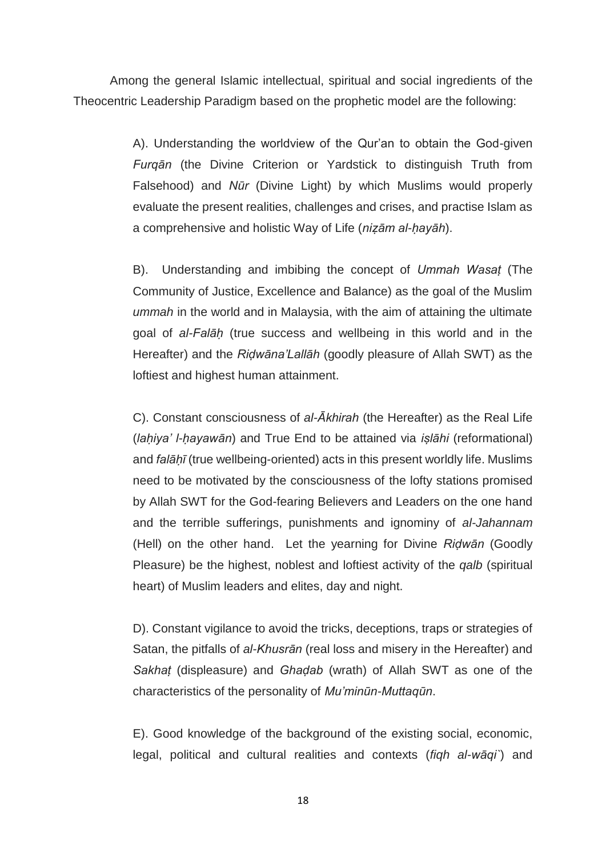Among the general Islamic intellectual, spiritual and social ingredients of the Theocentric Leadership Paradigm based on the prophetic model are the following:

> A). Understanding the worldview of the Qur'an to obtain the God-given *Furqān* (the Divine Criterion or Yardstick to distinguish Truth from Falsehood) and *Nūr* (Divine Light) by which Muslims would properly evaluate the present realities, challenges and crises, and practise Islam as a comprehensive and holistic Way of Life (*niẓām al-ḥayāh*).

> B). Understanding and imbibing the concept of *Ummah Wasaṭ* (The Community of Justice, Excellence and Balance) as the goal of the Muslim *ummah* in the world and in Malaysia, with the aim of attaining the ultimate goal of *al-Falāḥ* (true success and wellbeing in this world and in the Hereafter) and the *Riḍwāna'Lallāh* (goodly pleasure of Allah SWT) as the loftiest and highest human attainment.

> C). Constant consciousness of *al-Ākhirah* (the Hereafter) as the Real Life (*laḥiya' l-ḥayawān*) and True End to be attained via *iṣlāhi* (reformational) and *falāḥī* (true wellbeing-oriented) acts in this present worldly life. Muslims need to be motivated by the consciousness of the lofty stations promised by Allah SWT for the God-fearing Believers and Leaders on the one hand and the terrible sufferings, punishments and ignominy of *al-Jahannam* (Hell) on the other hand. Let the yearning for Divine *Riḍwān* (Goodly Pleasure) be the highest, noblest and loftiest activity of the *qalb* (spiritual heart) of Muslim leaders and elites, day and night.

> D). Constant vigilance to avoid the tricks, deceptions, traps or strategies of Satan, the pitfalls of *al-Khusrān* (real loss and misery in the Hereafter) and *Sakhaṭ* (displeasure) and *Ghaḍab* (wrath) of Allah SWT as one of the characteristics of the personality of *Mu'minūn-Muttaqūn*.

> E). Good knowledge of the background of the existing social, economic, legal, political and cultural realities and contexts (*fiqh al-wāqi`*) and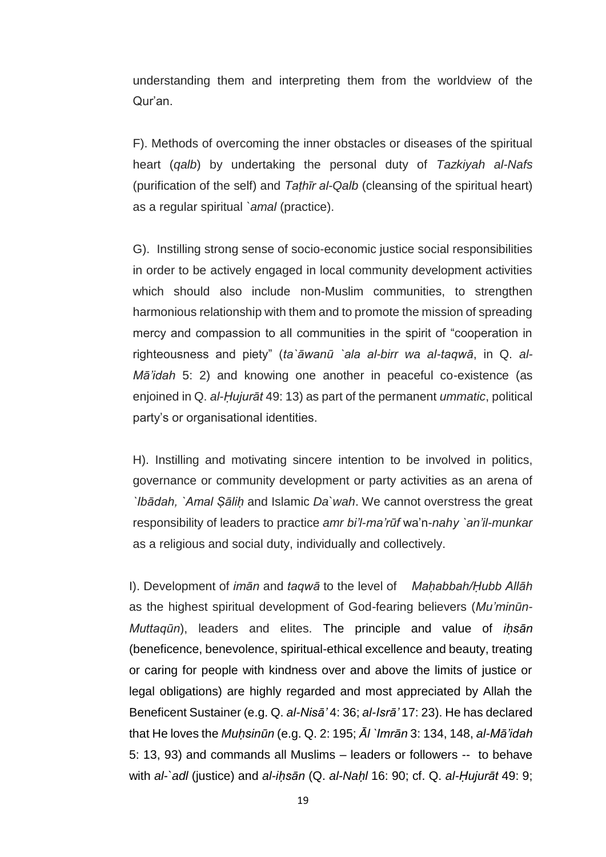understanding them and interpreting them from the worldview of the Qur'an.

F). Methods of overcoming the inner obstacles or diseases of the spiritual heart (*qalb*) by undertaking the personal duty of *Tazkiyah al-Nafs*  (purification of the self) and *Taṭhīr al-Qalb* (cleansing of the spiritual heart) as a regular spiritual *`amal* (practice).

G). Instilling strong sense of socio-economic justice social responsibilities in order to be actively engaged in local community development activities which should also include non-Muslim communities, to strengthen harmonious relationship with them and to promote the mission of spreading mercy and compassion to all communities in the spirit of "cooperation in righteousness and piety" (*ta`āwanū `ala al-birr wa al-taqwā*, in Q. *al-Mā'idah* 5: 2) and knowing one another in peaceful co-existence (as enjoined in Q. *al-Ḥujurāt* 49: 13) as part of the permanent *ummatic*, political party's or organisational identities.

H). Instilling and motivating sincere intention to be involved in politics, governance or community development or party activities as an arena of *`Ibādah, `Amal Ṣāliḥ* and Islamic *Da`wah*. We cannot overstress the great responsibility of leaders to practice *amr bi'l-ma'rūf* wa'n-*nahy `an'il-munkar*  as a religious and social duty, individually and collectively.

I). Development of *imān* and *taqwā* to the level of *Maḥabbah/Ḥubb Allāh* as the highest spiritual development of God-fearing believers (*Mu'minūn-Muttaqūn*), leaders and elites. The principle and value of *iḥsān* (beneficence, benevolence, spiritual-ethical excellence and beauty, treating or caring for people with kindness over and above the limits of justice or legal obligations) are highly regarded and most appreciated by Allah the Beneficent Sustainer (e.g. Q. *al-Nisā'* 4: 36; *al-Isrā'* 17: 23). He has declared that He loves the *Muḥsinūn* (e.g. Q. 2: 195; *Āl `Imrān* 3: 134, 148, *al-Mā'idah* 5: 13, 93) and commands all Muslims – leaders or followers -- to behave with *al-`adl* (justice) and *al-iḥsān* (Q. *al-Naḥl* 16: 90; cf. Q. *al-Ḥujurāt* 49: 9;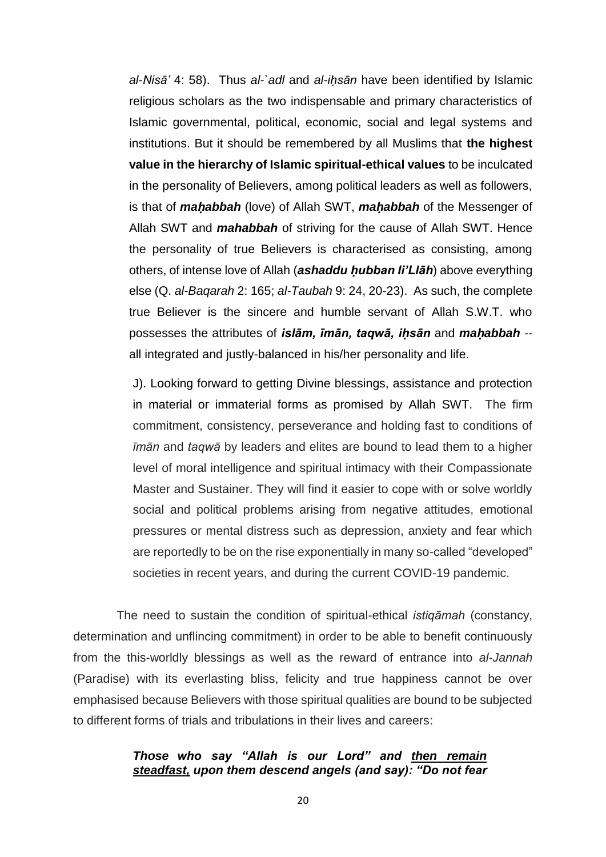*al-Nisā'* 4: 58). Thus *al-`adl* and *al-iḥsān* have been identified by Islamic religious scholars as the two indispensable and primary characteristics of Islamic governmental, political, economic, social and legal systems and institutions. But it should be remembered by all Muslims that **the highest value in the hierarchy of Islamic spiritual-ethical values** to be inculcated in the personality of Believers, among political leaders as well as followers, is that of *maḥabbah* (love) of Allah SWT, *maḥabbah* of the Messenger of Allah SWT and *mahabbah* of striving for the cause of Allah SWT. Hence the personality of true Believers is characterised as consisting, among others, of intense love of Allah (*ashaddu ḥubban li'Llāh*) above everything else (Q. *al-Baqarah* 2: 165; *al-Taubah* 9: 24, 20-23). As such, the complete true Believer is the sincere and humble servant of Allah S.W.T. who possesses the attributes of *islām, īmān, taqwā, iḥsān* and *maḥabbah* - all integrated and justly-balanced in his/her personality and life.

J). Looking forward to getting Divine blessings, assistance and protection in material or immaterial forms as promised by Allah SWT. The firm commitment, consistency, perseverance and holding fast to conditions of *īmān* and *taqwā* by leaders and elites are bound to lead them to a higher level of moral intelligence and spiritual intimacy with their Compassionate Master and Sustainer. They will find it easier to cope with or solve worldly social and political problems arising from negative attitudes, emotional pressures or mental distress such as depression, anxiety and fear which are reportedly to be on the rise exponentially in many so-called "developed" societies in recent years, and during the current COVID-19 pandemic.

 The need to sustain the condition of spiritual-ethical *istiqāmah* (constancy, determination and unflincing commitment) in order to be able to benefit continuously from the this-worldly blessings as well as the reward of entrance into *al-Jannah* (Paradise) with its everlasting bliss, felicity and true happiness cannot be over emphasised because Believers with those spiritual qualities are bound to be subjected to different forms of trials and tribulations in their lives and careers:

## *Those who say "Allah is our Lord" and then remain steadfast, upon them descend angels (and say): "Do not fear*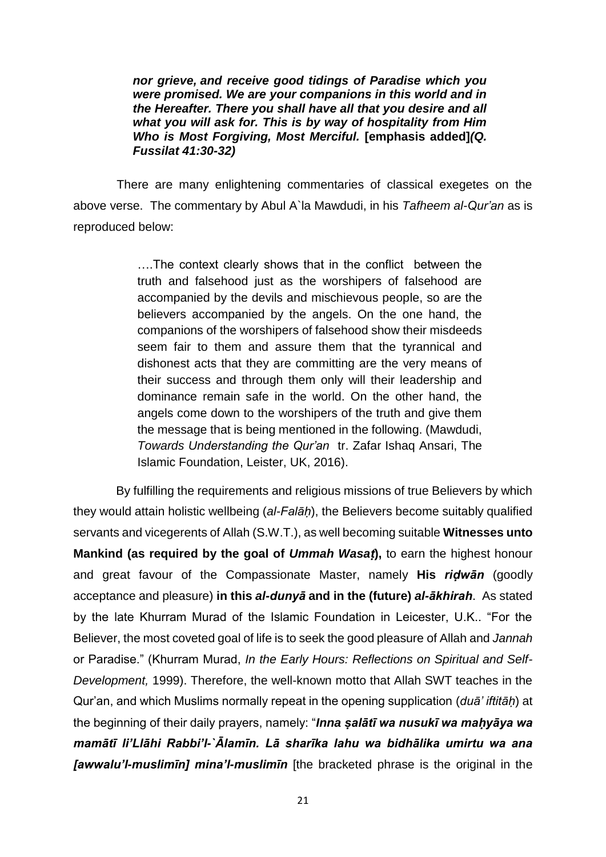*nor grieve, and receive good tidings of Paradise which you were promised. We are your companions in this world and in the Hereafter. There you shall have all that you desire and all what you will ask for. This is by way of hospitality from Him Who is Most Forgiving, Most Merciful.* **[emphasis added]***(Q. Fussilat 41:30-32)*

 There are many enlightening commentaries of classical exegetes on the above verse. The commentary by Abul A`la Mawdudi, in his *Tafheem al-Qur'an* as is reproduced below:

> ….The context clearly shows that in the conflict between the truth and falsehood just as the worshipers of falsehood are accompanied by the devils and mischievous people, so are the believers accompanied by the angels. On the one hand, the companions of the worshipers of falsehood show their misdeeds seem fair to them and assure them that the tyrannical and dishonest acts that they are committing are the very means of their success and through them only will their leadership and dominance remain safe in the world. On the other hand, the angels come down to the worshipers of the truth and give them the message that is being mentioned in the following. (Mawdudi, *Towards Understanding the Qur'an* tr. Zafar Ishaq Ansari, The Islamic Foundation, Leister, UK, 2016).

 By fulfilling the requirements and religious missions of true Believers by which they would attain holistic wellbeing (*al-Falāḥ*), the Believers become suitably qualified servants and vicegerents of Allah (S.W.T.), as well becoming suitable **Witnesses unto Mankind (as required by the goal of** *Ummah Wasaṭ***),** to earn the highest honour and great favour of the Compassionate Master, namely **His** *riḍwān* (goodly acceptance and pleasure) **in this** *al-dunyā* **and in the (future)** *al-ākhirah*. As stated by the late Khurram Murad of the Islamic Foundation in Leicester, U.K.. "For the Believer, the most coveted goal of life is to seek the good pleasure of Allah and *Jannah* or Paradise." (Khurram Murad, *In the Early Hours: Reflections on Spiritual and Self-Development,* 1999). Therefore, the well-known motto that Allah SWT teaches in the Qur'an, and which Muslims normally repeat in the opening supplication (*duā' iftitāḥ*) at the beginning of their daily prayers, namely: "**Inna salātī wa nusukī wa mahyāya wa** *mamātī li'Llāhi Rabbi'l-`Ālamīn. Lā sharīka lahu wa bidhālika umirtu wa ana [awwalu'l-muslimīn] mina'l-muslimīn* [the bracketed phrase is the original in the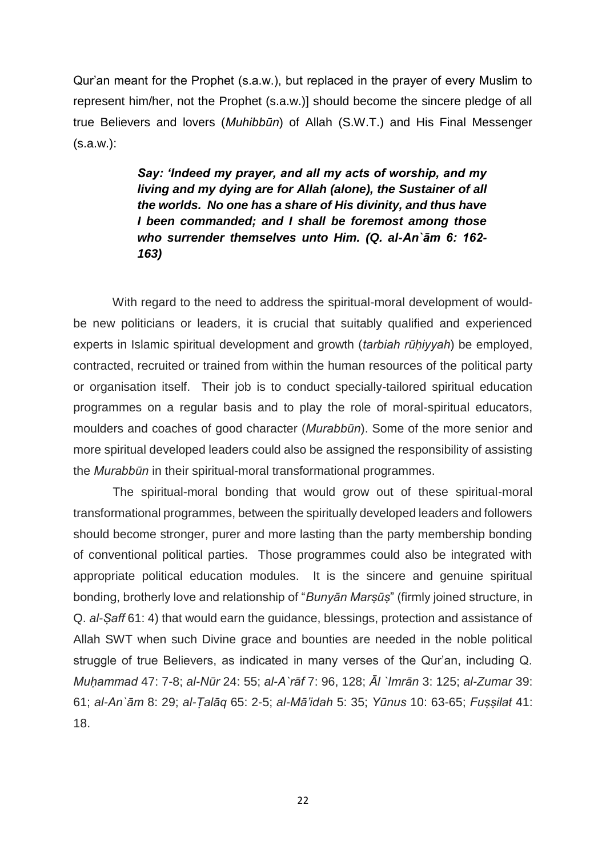Qur'an meant for the Prophet (s.a.w.), but replaced in the prayer of every Muslim to represent him/her, not the Prophet (s.a.w.)] should become the sincere pledge of all true Believers and lovers (*Muhibbūn*) of Allah (S.W.T.) and His Final Messenger (s.a.w.):

> *Say: 'Indeed my prayer, and all my acts of worship, and my living and my dying are for Allah (alone), the Sustainer of all the worlds. No one has a share of His divinity, and thus have I been commanded; and I shall be foremost among those who surrender themselves unto Him. (Q. al-An`ām 6: 162- 163)*

With regard to the need to address the spiritual-moral development of wouldbe new politicians or leaders, it is crucial that suitably qualified and experienced experts in Islamic spiritual development and growth *(tarbiah rūhiyyah)* be employed, contracted, recruited or trained from within the human resources of the political party or organisation itself. Their job is to conduct specially-tailored spiritual education programmes on a regular basis and to play the role of moral-spiritual educators, moulders and coaches of good character (*Murabbūn*). Some of the more senior and more spiritual developed leaders could also be assigned the responsibility of assisting the *Murabbūn* in their spiritual-moral transformational programmes.

The spiritual-moral bonding that would grow out of these spiritual-moral transformational programmes, between the spiritually developed leaders and followers should become stronger, purer and more lasting than the party membership bonding of conventional political parties. Those programmes could also be integrated with appropriate political education modules. It is the sincere and genuine spiritual bonding, brotherly love and relationship of "*Bunyān Marṣūṣ*" (firmly joined structure, in Q. *al-Ṣaff* 61: 4) that would earn the guidance, blessings, protection and assistance of Allah SWT when such Divine grace and bounties are needed in the noble political struggle of true Believers, as indicated in many verses of the Qur'an, including Q. *Muḥammad* 47: 7-8; *al-Nūr* 24: 55; *al-A`rāf* 7: 96, 128; *Āl `Imrān* 3: 125; *al-Zumar* 39: 61; *al-An`ām* 8: 29; *al-Ṭalāq* 65: 2-5; *al-Mā'idah* 5: 35; *Yūnus* 10: 63-65; *Fuṣṣilat* 41: 18.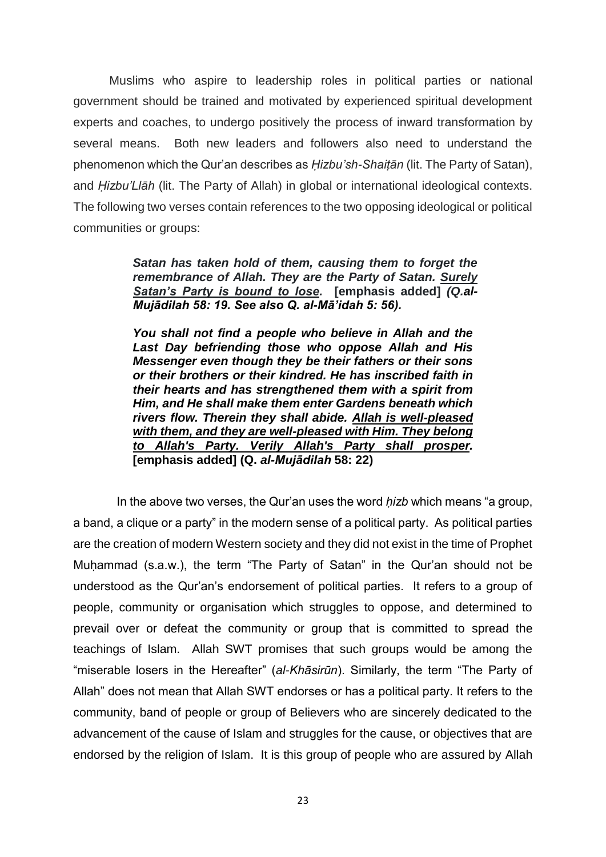Muslims who aspire to leadership roles in political parties or national government should be trained and motivated by experienced spiritual development experts and coaches, to undergo positively the process of inward transformation by several means. Both new leaders and followers also need to understand the phenomenon which the Qur'an describes as *Ḥizbu'sh-Shaiṭān* (lit. The Party of Satan), and *Ḥizbu'Llāh* (lit. The Party of Allah) in global or international ideological contexts. The following two verses contain references to the two opposing ideological or political communities or groups:

> *Satan has taken hold of them, causing them to forget the remembrance of Allah. They are the Party of Satan. Surely Satan's Party is bound to lose.* **[emphasis added]** *(Q.al-Mujādilah 58: 19. See also Q. al-Mā'idah 5: 56).*

*You shall not find a people who believe in Allah and the Last Day befriending those who oppose Allah and His Messenger even though they be their fathers or their sons or their brothers or their kindred. He has inscribed faith in their hearts and has strengthened them with a spirit from Him, and He shall make them enter Gardens beneath which rivers flow. Therein they shall abide. Allah is well-pleased with them, and they are well-pleased with Him. They belong to Allah's Party. Verily Allah's Party shall prosper.*  **[emphasis added] (Q.** *al-Mujādilah* **58: 22)**

 In the above two verses, the Qur'an uses the word *ḥizb* which means "a group, a band, a clique or a party" in the modern sense of a political party. As political parties are the creation of modern Western society and they did not exist in the time of Prophet Muhammad (s.a.w.), the term "The Party of Satan" in the Qur'an should not be understood as the Qur'an's endorsement of political parties. It refers to a group of people, community or organisation which struggles to oppose, and determined to prevail over or defeat the community or group that is committed to spread the teachings of Islam. Allah SWT promises that such groups would be among the "miserable losers in the Hereafter" (*al-Khāsirūn*). Similarly, the term "The Party of Allah" does not mean that Allah SWT endorses or has a political party. It refers to the community, band of people or group of Believers who are sincerely dedicated to the advancement of the cause of Islam and struggles for the cause, or objectives that are endorsed by the religion of Islam. It is this group of people who are assured by Allah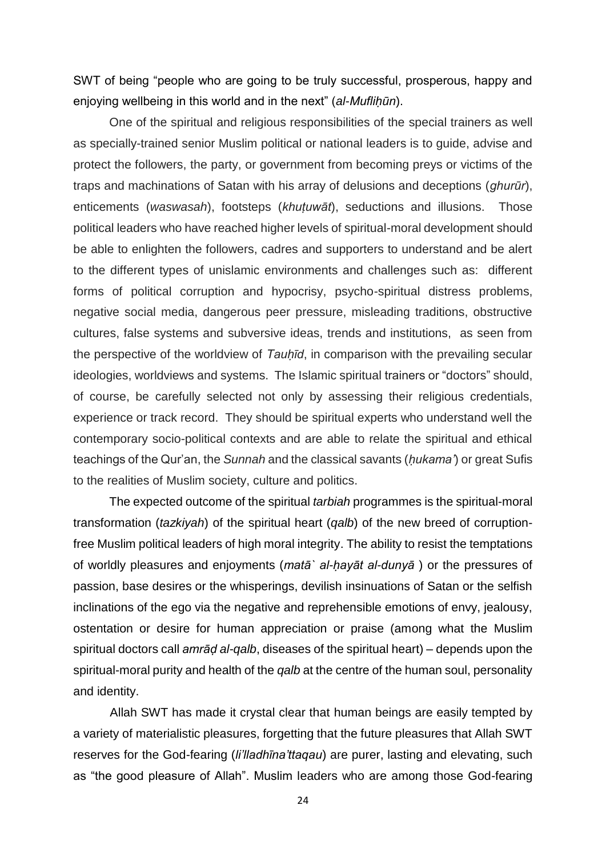SWT of being "people who are going to be truly successful, prosperous, happy and enjoying wellbeing in this world and in the next" (*al-Muflihūn*).

One of the spiritual and religious responsibilities of the special trainers as well as specially-trained senior Muslim political or national leaders is to guide, advise and protect the followers, the party, or government from becoming preys or victims of the traps and machinations of Satan with his array of delusions and deceptions (*ghurūr*), enticements (*waswasah*), footsteps (*khuṭuwāt*), seductions and illusions. Those political leaders who have reached higher levels of spiritual-moral development should be able to enlighten the followers, cadres and supporters to understand and be alert to the different types of unislamic environments and challenges such as: different forms of political corruption and hypocrisy, psycho-spiritual distress problems, negative social media, dangerous peer pressure, misleading traditions, obstructive cultures, false systems and subversive ideas, trends and institutions, as seen from the perspective of the worldview of *Tauḥīd*, in comparison with the prevailing secular ideologies, worldviews and systems. The Islamic spiritual trainers or "doctors" should, of course, be carefully selected not only by assessing their religious credentials, experience or track record. They should be spiritual experts who understand well the contemporary socio-political contexts and are able to relate the spiritual and ethical teachings of the Qur'an, the *Sunnah* and the classical savants (*ḥukama'*) or great Sufis to the realities of Muslim society, culture and politics.

The expected outcome of the spiritual *tarbiah* programmes is the spiritual-moral transformation (*tazkiyah*) of the spiritual heart (*qalb*) of the new breed of corruptionfree Muslim political leaders of high moral integrity. The ability to resist the temptations of worldly pleasures and enjoyments (*matā` al-ḥayāt al-dunyā* ) or the pressures of passion, base desires or the whisperings, devilish insinuations of Satan or the selfish inclinations of the ego via the negative and reprehensible emotions of envy, jealousy, ostentation or desire for human appreciation or praise (among what the Muslim spiritual doctors call *amrāḍ al-qalb*, diseases of the spiritual heart) – depends upon the spiritual-moral purity and health of the *qalb* at the centre of the human soul, personality and identity.

Allah SWT has made it crystal clear that human beings are easily tempted by a variety of materialistic pleasures, forgetting that the future pleasures that Allah SWT reserves for the God-fearing (*li'lladhīna'ttaqau*) are purer, lasting and elevating, such as "the good pleasure of Allah". Muslim leaders who are among those God-fearing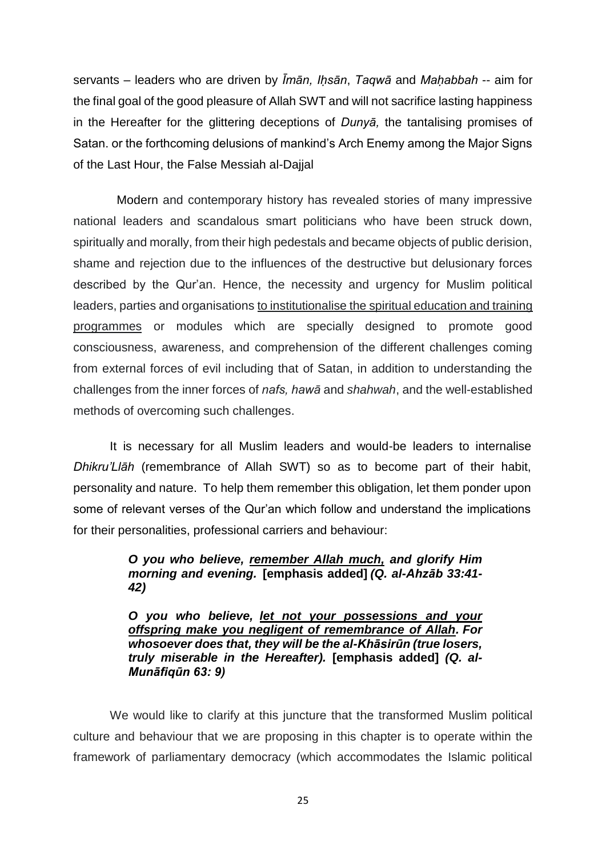servants – leaders who are driven by *Īmān, Iḥsān*, *Taqwā* and *Maḥabbah* -- aim for the final goal of the good pleasure of Allah SWT and will not sacrifice lasting happiness in the Hereafter for the glittering deceptions of *Dunyā,* the tantalising promises of Satan. or the forthcoming delusions of mankind's Arch Enemy among the Major Signs of the Last Hour, the False Messiah al-Dajjal

 Modern and contemporary history has revealed stories of many impressive national leaders and scandalous smart politicians who have been struck down, spiritually and morally, from their high pedestals and became objects of public derision, shame and rejection due to the influences of the destructive but delusionary forces described by the Qur'an. Hence, the necessity and urgency for Muslim political leaders, parties and organisations to institutionalise the spiritual education and training programmes or modules which are specially designed to promote good consciousness, awareness, and comprehension of the different challenges coming from external forces of evil including that of Satan, in addition to understanding the challenges from the inner forces of *nafs, hawā* and *shahwah*, and the well-established methods of overcoming such challenges.

It is necessary for all Muslim leaders and would-be leaders to internalise *Dhikru'Llāh* (remembrance of Allah SWT) so as to become part of their habit, personality and nature. To help them remember this obligation, let them ponder upon some of relevant verses of the Qur'an which follow and understand the implications for their personalities, professional carriers and behaviour:

## *O you who believe, remember Allah much, and glorify Him morning and evening.* **[emphasis added]** *(Q. al-Ahzāb 33:41- 42)*

*O you who believe, let not your possessions and your offspring make you negligent of remembrance of Allah. For whosoever does that, they will be the al-Khāsirūn (true losers, truly miserable in the Hereafter).* **[emphasis added]** *(Q. al-Munāfiqūn 63: 9)*

We would like to clarify at this juncture that the transformed Muslim political culture and behaviour that we are proposing in this chapter is to operate within the framework of parliamentary democracy (which accommodates the Islamic political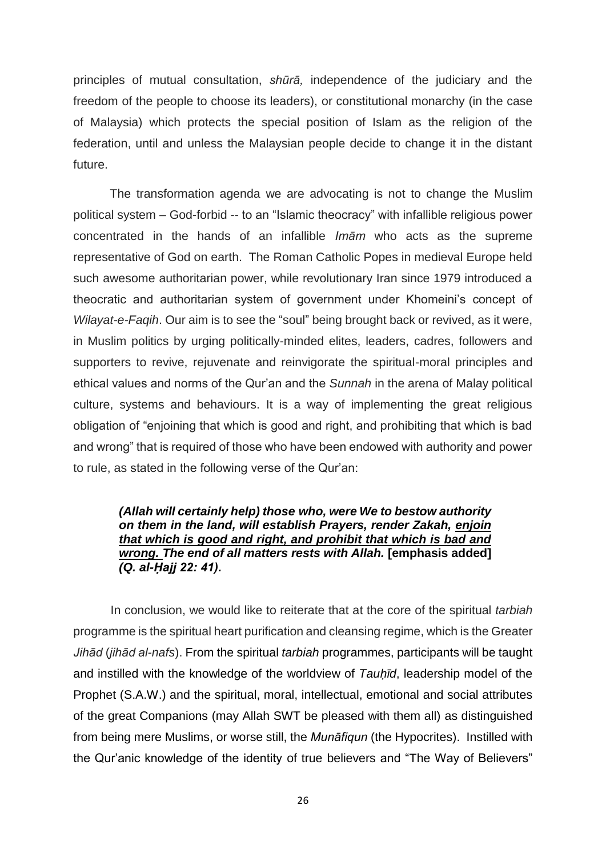principles of mutual consultation, *shūrā,* independence of the judiciary and the freedom of the people to choose its leaders), or constitutional monarchy (in the case of Malaysia) which protects the special position of Islam as the religion of the federation, until and unless the Malaysian people decide to change it in the distant future.

The transformation agenda we are advocating is not to change the Muslim political system – God-forbid -- to an "Islamic theocracy" with infallible religious power concentrated in the hands of an infallible *Imām* who acts as the supreme representative of God on earth. The Roman Catholic Popes in medieval Europe held such awesome authoritarian power, while revolutionary Iran since 1979 introduced a theocratic and authoritarian system of government under Khomeini's concept of *Wilayat-e-Faqih*. Our aim is to see the "soul" being brought back or revived, as it were, in Muslim politics by urging politically-minded elites, leaders, cadres, followers and supporters to revive, rejuvenate and reinvigorate the spiritual-moral principles and ethical values and norms of the Qur'an and the *Sunnah* in the arena of Malay political culture, systems and behaviours. It is a way of implementing the great religious obligation of "enjoining that which is good and right, and prohibiting that which is bad and wrong" that is required of those who have been endowed with authority and power to rule, as stated in the following verse of the Qur'an:

## *(Allah will certainly help) those who, were We to bestow authority on them in the land, will establish Prayers, render Zakah, enjoin that which is good and right, and prohibit that which is bad and wrong. The end of all matters rests with Allah.* **[emphasis added]**  *(Q. al-Ḥajj 22: 41).*

 In conclusion, we would like to reiterate that at the core of the spiritual *tarbiah* programme is the spiritual heart purification and cleansing regime, which is the Greater *Jihād* (*jihād al-nafs*). From the spiritual *tarbiah* programmes, participants will be taught and instilled with the knowledge of the worldview of *Tauḥīd*, leadership model of the Prophet (S.A.W.) and the spiritual, moral, intellectual, emotional and social attributes of the great Companions (may Allah SWT be pleased with them all) as distinguished from being mere Muslims, or worse still, the *Munāfiqun* (the Hypocrites). Instilled with the Qur'anic knowledge of the identity of true believers and "The Way of Believers"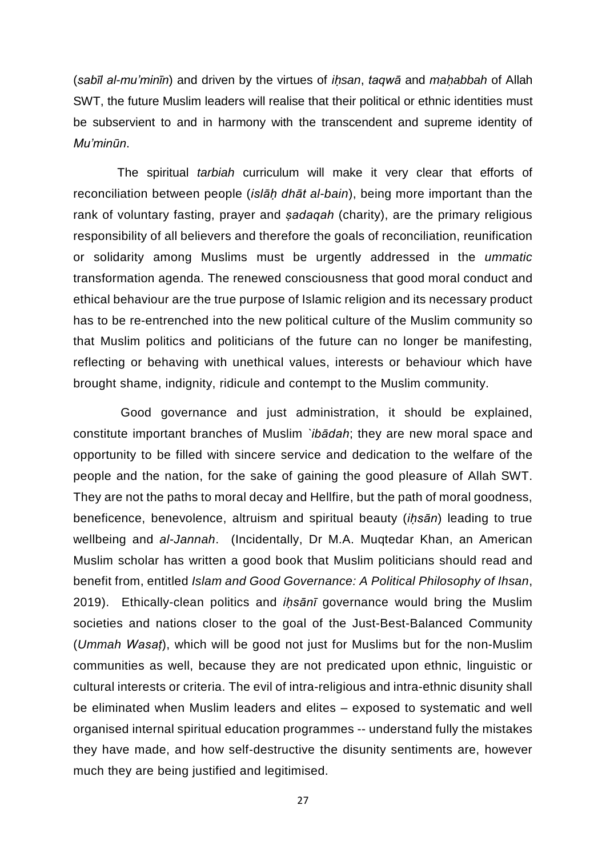(*sabīl al-mu'minīn*) and driven by the virtues of *iḥsan*, *taqwā* and *maḥabbah* of Allah SWT, the future Muslim leaders will realise that their political or ethnic identities must be subservient to and in harmony with the transcendent and supreme identity of *Mu'minūn*.

 The spiritual *tarbiah* curriculum will make it very clear that efforts of reconciliation between people (*islāḥ dhāt al-bain*), being more important than the rank of voluntary fasting, prayer and *ṣadaqah* (charity), are the primary religious responsibility of all believers and therefore the goals of reconciliation, reunification or solidarity among Muslims must be urgently addressed in the *ummatic* transformation agenda. The renewed consciousness that good moral conduct and ethical behaviour are the true purpose of Islamic religion and its necessary product has to be re-entrenched into the new political culture of the Muslim community so that Muslim politics and politicians of the future can no longer be manifesting, reflecting or behaving with unethical values, interests or behaviour which have brought shame, indignity, ridicule and contempt to the Muslim community.

 Good governance and just administration, it should be explained, constitute important branches of Muslim *`ibādah*; they are new moral space and opportunity to be filled with sincere service and dedication to the welfare of the people and the nation, for the sake of gaining the good pleasure of Allah SWT. They are not the paths to moral decay and Hellfire, but the path of moral goodness, beneficence, benevolence, altruism and spiritual beauty (*iḥsān*) leading to true wellbeing and *al-Jannah*. (Incidentally, Dr M.A. Muqtedar Khan, an American Muslim scholar has written a good book that Muslim politicians should read and benefit from, entitled *Islam and Good Governance: A Political Philosophy of Ihsan*, 2019). Ethically-clean politics and *iḥsānī* governance would bring the Muslim societies and nations closer to the goal of the Just-Best-Balanced Community (*Ummah Wasaṭ*), which will be good not just for Muslims but for the non-Muslim communities as well, because they are not predicated upon ethnic, linguistic or cultural interests or criteria. The evil of intra-religious and intra-ethnic disunity shall be eliminated when Muslim leaders and elites – exposed to systematic and well organised internal spiritual education programmes -- understand fully the mistakes they have made, and how self-destructive the disunity sentiments are, however much they are being justified and legitimised.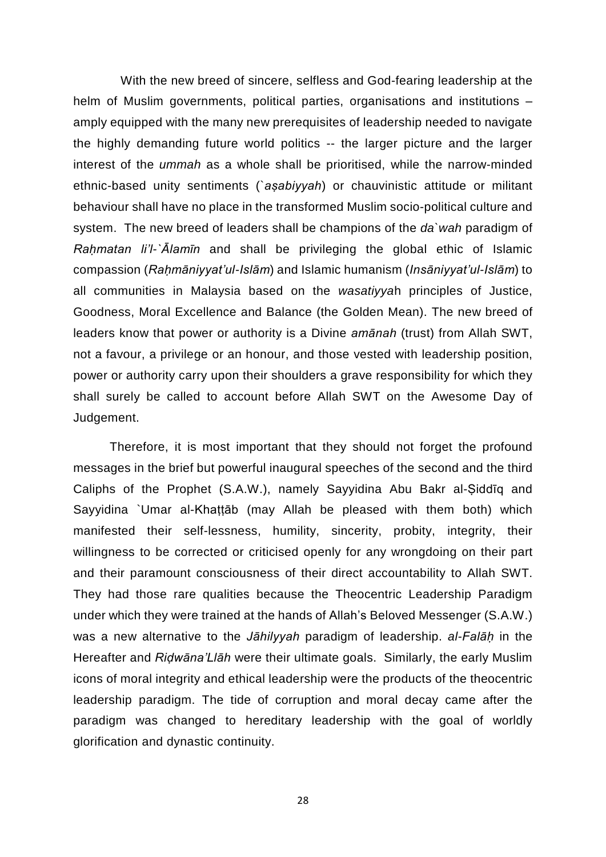With the new breed of sincere, selfless and God-fearing leadership at the helm of Muslim governments, political parties, organisations and institutions – amply equipped with the many new prerequisites of leadership needed to navigate the highly demanding future world politics -- the larger picture and the larger interest of the *ummah* as a whole shall be prioritised, while the narrow-minded ethnic-based unity sentiments (`*aṣabiyyah*) or chauvinistic attitude or militant behaviour shall have no place in the transformed Muslim socio-political culture and system. The new breed of leaders shall be champions of the *da`wah* paradigm of *Raḥmatan li'l-`Ālamīn* and shall be privileging the global ethic of Islamic compassion (*Raḥmāniyyat'ul-Islām*) and Islamic humanism (*Insāniyyat'ul-Islām*) to all communities in Malaysia based on the *wasatiyya*h principles of Justice, Goodness, Moral Excellence and Balance (the Golden Mean). The new breed of leaders know that power or authority is a Divine *amānah* (trust) from Allah SWT, not a favour, a privilege or an honour, and those vested with leadership position, power or authority carry upon their shoulders a grave responsibility for which they shall surely be called to account before Allah SWT on the Awesome Day of Judgement.

 Therefore, it is most important that they should not forget the profound messages in the brief but powerful inaugural speeches of the second and the third Caliphs of the Prophet (S.A.W.), namely Sayyidina Abu Bakr al-Ṣiddīq and Sayyidina `Umar al-Khattāb (may Allah be pleased with them both) which manifested their self-lessness, humility, sincerity, probity, integrity, their willingness to be corrected or criticised openly for any wrongdoing on their part and their paramount consciousness of their direct accountability to Allah SWT. They had those rare qualities because the Theocentric Leadership Paradigm under which they were trained at the hands of Allah's Beloved Messenger (S.A.W.) was a new alternative to the *Jāhilyyah* paradigm of leadership. *al-Falāḥ* in the Hereafter and *Riḍwāna'Llāh* were their ultimate goals. Similarly, the early Muslim icons of moral integrity and ethical leadership were the products of the theocentric leadership paradigm. The tide of corruption and moral decay came after the paradigm was changed to hereditary leadership with the goal of worldly glorification and dynastic continuity.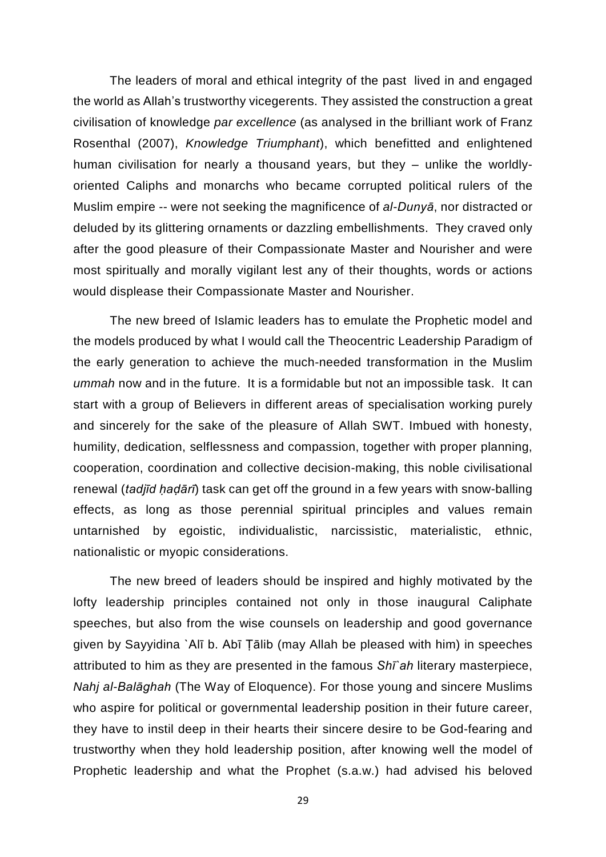The leaders of moral and ethical integrity of the past lived in and engaged the world as Allah's trustworthy vicegerents. They assisted the construction a great civilisation of knowledge *par excellence* (as analysed in the brilliant work of Franz Rosenthal (2007), *Knowledge Triumphant*), which benefitted and enlightened human civilisation for nearly a thousand years, but they – unlike the worldlyoriented Caliphs and monarchs who became corrupted political rulers of the Muslim empire -- were not seeking the magnificence of *al-Dunyā*, nor distracted or deluded by its glittering ornaments or dazzling embellishments. They craved only after the good pleasure of their Compassionate Master and Nourisher and were most spiritually and morally vigilant lest any of their thoughts, words or actions would displease their Compassionate Master and Nourisher.

The new breed of Islamic leaders has to emulate the Prophetic model and the models produced by what I would call the Theocentric Leadership Paradigm of the early generation to achieve the much-needed transformation in the Muslim *ummah* now and in the future. It is a formidable but not an impossible task. It can start with a group of Believers in different areas of specialisation working purely and sincerely for the sake of the pleasure of Allah SWT. Imbued with honesty, humility, dedication, selflessness and compassion, together with proper planning, cooperation, coordination and collective decision-making, this noble civilisational renewal (*tadjīd ḥaḍārī*) task can get off the ground in a few years with snow-balling effects, as long as those perennial spiritual principles and values remain untarnished by egoistic, individualistic, narcissistic, materialistic, ethnic, nationalistic or myopic considerations.

The new breed of leaders should be inspired and highly motivated by the lofty leadership principles contained not only in those inaugural Caliphate speeches, but also from the wise counsels on leadership and good governance given by Sayyidina `Alī b. Abī Ṭālib (may Allah be pleased with him) in speeches attributed to him as they are presented in the famous *Shī`ah* literary masterpiece, *Nahj al-Balāghah* (The Way of Eloquence). For those young and sincere Muslims who aspire for political or governmental leadership position in their future career, they have to instil deep in their hearts their sincere desire to be God-fearing and trustworthy when they hold leadership position, after knowing well the model of Prophetic leadership and what the Prophet (s.a.w.) had advised his beloved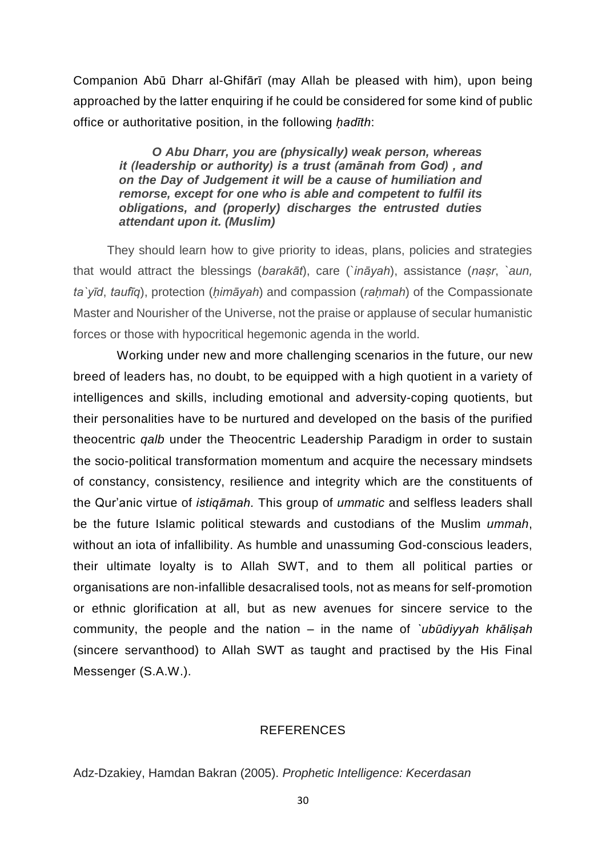Companion Abū Dharr al-Ghifārī (may Allah be pleased with him), upon being approached by the latter enquiring if he could be considered for some kind of public office or authoritative position, in the following *ḥadīth*:

*O Abu Dharr, you are (physically) weak person, whereas it (leadership or authority) is a trust (amānah from God) , and on the Day of Judgement it will be a cause of humiliation and remorse, except for one who is able and competent to fulfil its obligations, and (properly) discharges the entrusted duties attendant upon it. (Muslim)*

 They should learn how to give priority to ideas, plans, policies and strategies that would attract the blessings (*barakāt*), care (`*ināyah*), assistance (*naṣr*, *`aun, ta`yīd*, *taufīq*), protection (*ḥimāyah*) and compassion (*raḥmah*) of the Compassionate Master and Nourisher of the Universe, not the praise or applause of secular humanistic forces or those with hypocritical hegemonic agenda in the world.

 Working under new and more challenging scenarios in the future, our new breed of leaders has, no doubt, to be equipped with a high quotient in a variety of intelligences and skills, including emotional and adversity-coping quotients, but their personalities have to be nurtured and developed on the basis of the purified theocentric *qalb* under the Theocentric Leadership Paradigm in order to sustain the socio-political transformation momentum and acquire the necessary mindsets of constancy, consistency, resilience and integrity which are the constituents of the Qur'anic virtue of *istiqāmah.* This group of *ummatic* and selfless leaders shall be the future Islamic political stewards and custodians of the Muslim *ummah*, without an iota of infallibility. As humble and unassuming God-conscious leaders, their ultimate loyalty is to Allah SWT, and to them all political parties or organisations are non-infallible desacralised tools, not as means for self-promotion or ethnic glorification at all, but as new avenues for sincere service to the community, the people and the nation – in the name of *`ubūdiyyah khāliṣah* (sincere servanthood) to Allah SWT as taught and practised by the His Final Messenger (S.A.W.).

### REFERENCES

Adz-Dzakiey, Hamdan Bakran (2005). *Prophetic Intelligence: Kecerdasan*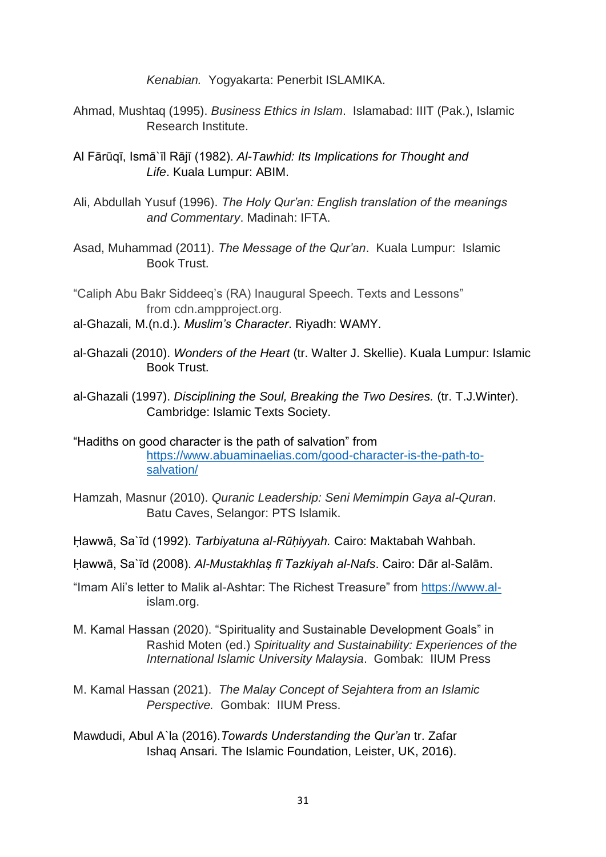*Kenabian.* Yogyakarta: Penerbit ISLAMIKA.

- Ahmad, Mushtaq (1995). *Business Ethics in Islam*. Islamabad: IIIT (Pak.), Islamic Research Institute.
- Al Fārūqī, Ismā`īl Rājī (1982). *Al-Tawhid: Its Implications for Thought and Life*. Kuala Lumpur: ABIM.
- Ali, Abdullah Yusuf (1996). *The Holy Qur'an: English translation of the meanings and Commentary*. Madinah: IFTA.
- Asad, Muhammad (2011). *The Message of the Qur'an*. Kuala Lumpur: Islamic Book Trust.
- "Caliph Abu Bakr Siddeeq's (RA) Inaugural Speech. Texts and Lessons" from cdn.ampproject.org.
- al-Ghazali, M.(n.d.). *Muslim's Character*. Riyadh: WAMY.
- al-Ghazali (2010). *Wonders of the Heart* (tr. Walter J. Skellie). Kuala Lumpur: Islamic Book Trust.
- al-Ghazali (1997). *Disciplining the Soul, Breaking the Two Desires.* (tr. T.J.Winter). Cambridge: Islamic Texts Society.
- "Hadiths on good character is the path of salvation" from [https://www.abuaminaelias.com/good-character-is-the-path-to](https://www.abuaminaelias.com/good-character-is-the-path-to-salvation/)[salvation/](https://www.abuaminaelias.com/good-character-is-the-path-to-salvation/)
- Hamzah, Masnur (2010). *Quranic Leadership: Seni Memimpin Gaya al-Quran*. Batu Caves, Selangor: PTS Islamik.
- Ḥawwā, Sa`īd (1992). *Tarbiyatuna al-Rūḥiyyah.* Cairo: Maktabah Wahbah.
- Ḥawwā, Sa`īd (2008). *Al-Mustakhlaṣ fī Tazkiyah al-Nafs*. Cairo: Dār al-Salām.
- "Imam Ali's letter to Malik al-Ashtar: The Richest Treasure" from [https://www.al](https://www.al-/)islam.org.
- M. Kamal Hassan (2020). "Spirituality and Sustainable Development Goals" in Rashid Moten (ed.) *Spirituality and Sustainability: Experiences of the International Islamic University Malaysia*. Gombak: IIUM Press
- M. Kamal Hassan (2021). *The Malay Concept of Sejahtera from an Islamic Perspective.* Gombak: IIUM Press.
- Mawdudi, Abul A`la (2016).*Towards Understanding the Qur'an* tr. Zafar Ishaq Ansari. The Islamic Foundation, Leister, UK, 2016).